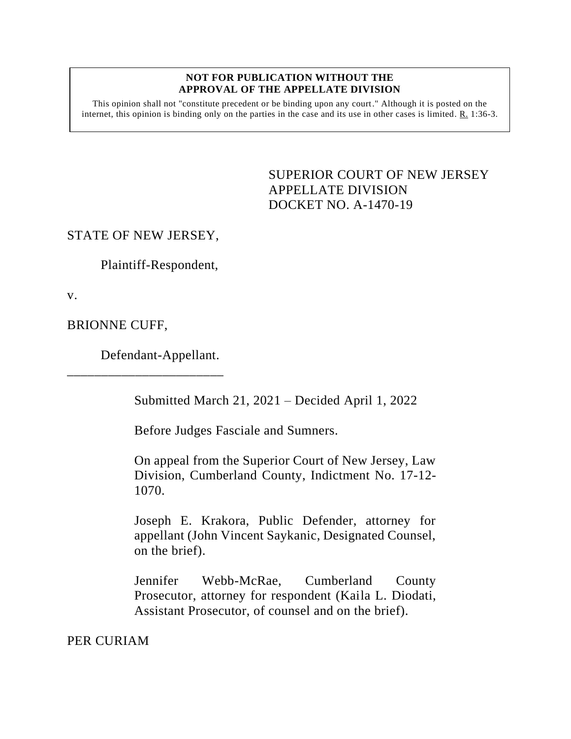#### **NOT FOR PUBLICATION WITHOUT THE APPROVAL OF THE APPELLATE DIVISION**

This opinion shall not "constitute precedent or be binding upon any court." Although it is posted on the internet, this opinion is binding only on the parties in the case and its use in other cases is limited. R. 1:36-3.

> <span id="page-0-0"></span>SUPERIOR COURT OF NEW JERSEY APPELLATE DIVISION DOCKET NO. A-1470-19

### STATE OF NEW JERSEY,

Plaintiff-Respondent,

v.

BRIONNE CUFF,

Defendant-Appellant.

\_\_\_\_\_\_\_\_\_\_\_\_\_\_\_\_\_\_\_\_\_\_\_

Submitted March 21, 2021 – Decided April 1, 2022

Before Judges Fasciale and Sumners.

On appeal from the Superior Court of New Jersey, Law Division, Cumberland County, Indictment No. 17-12- 1070.

Joseph E. Krakora, Public Defender, attorney for appellant (John Vincent Saykanic, Designated Counsel, on the brief).

Jennifer Webb-McRae, Cumberland County Prosecutor, attorney for respondent (Kaila L. Diodati, Assistant Prosecutor, of counsel and on the brief).

PER CURIAM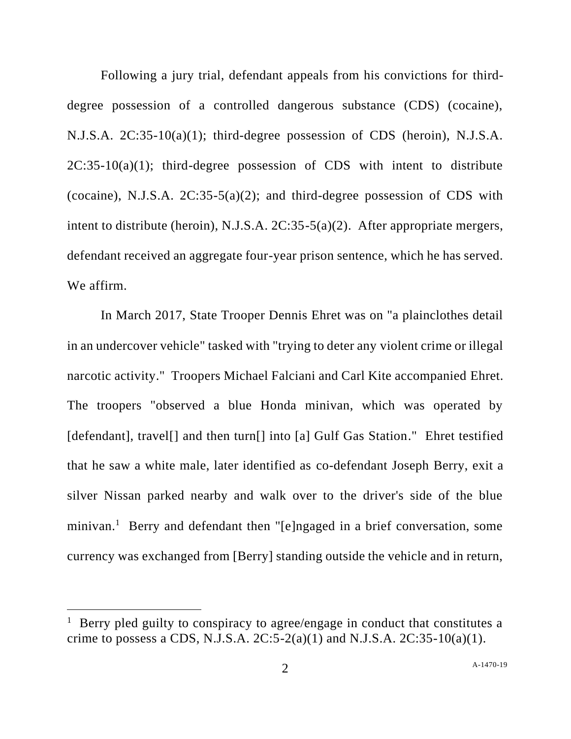Following a jury trial, defendant appeals from his convictions for thirddegree possession of a controlled dangerous substance (CDS) (cocaine), N.J.S.A. 2C:35-10(a)(1); third-degree possession of CDS (heroin), N.J.S.A.  $2C:35-10(a)(1)$ ; third-degree possession of CDS with intent to distribute (cocaine), N.J.S.A.  $2C:35-5(a)(2)$ ; and third-degree possession of CDS with intent to distribute (heroin), N.J.S.A. 2C:35-5(a)(2). After appropriate mergers, defendant received an aggregate four-year prison sentence, which he has served. We affirm.

In March 2017, State Trooper Dennis Ehret was on "a plainclothes detail in an undercover vehicle" tasked with "trying to deter any violent crime or illegal narcotic activity." Troopers Michael Falciani and Carl Kite accompanied Ehret. The troopers "observed a blue Honda minivan, which was operated by [defendant], travel[] and then turn[] into [a] Gulf Gas Station." Ehret testified that he saw a white male, later identified as co-defendant Joseph Berry, exit a silver Nissan parked nearby and walk over to the driver's side of the blue minivan.<sup>1</sup> Berry and defendant then "[e]ngaged in a brief conversation, some currency was exchanged from [Berry] standing outside the vehicle and in return,

<sup>&</sup>lt;sup>1</sup> Berry pled guilty to conspiracy to agree/engage in conduct that constitutes a crime to possess a CDS, N.J.S.A.  $2C:5-2(a)(1)$  and N.J.S.A.  $2C:35-10(a)(1)$ .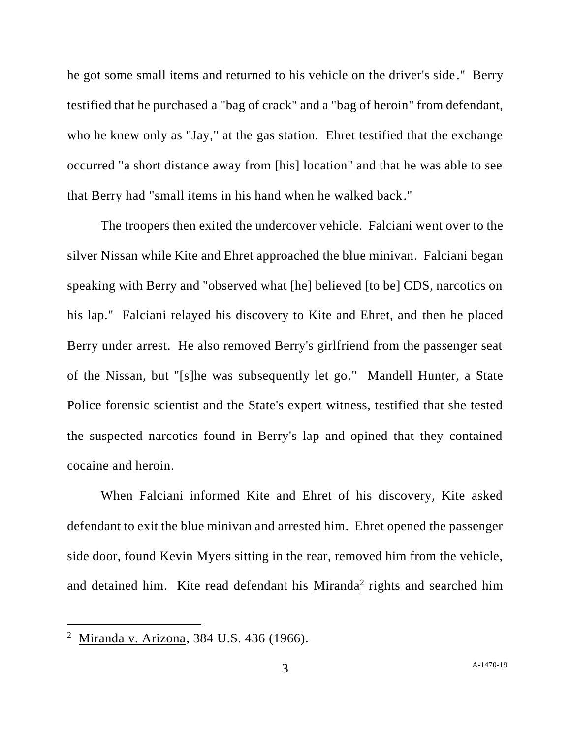he got some small items and returned to his vehicle on the driver's side." Berry testified that he purchased a "bag of crack" and a "bag of heroin" from defendant, who he knew only as "Jay," at the gas station. Ehret testified that the exchange occurred "a short distance away from [his] location" and that he was able to see that Berry had "small items in his hand when he walked back."

The troopers then exited the undercover vehicle. Falciani went over to the silver Nissan while Kite and Ehret approached the blue minivan. Falciani began speaking with Berry and "observed what [he] believed [to be] CDS, narcotics on his lap." Falciani relayed his discovery to Kite and Ehret, and then he placed Berry under arrest. He also removed Berry's girlfriend from the passenger seat of the Nissan, but "[s]he was subsequently let go." Mandell Hunter, a State Police forensic scientist and the State's expert witness, testified that she tested the suspected narcotics found in Berry's lap and opined that they contained cocaine and heroin.

When Falciani informed Kite and Ehret of his discovery, Kite asked defendant to exit the blue minivan and arrested him. Ehret opened the passenger side door, found Kevin Myers sitting in the rear, removed him from the vehicle, and detained him. Kite read defendant his Miranda<sup>2</sup> rights and searched him

<sup>&</sup>lt;sup>2</sup> Miranda v. Arizona, 384 U.S. 436 (1966).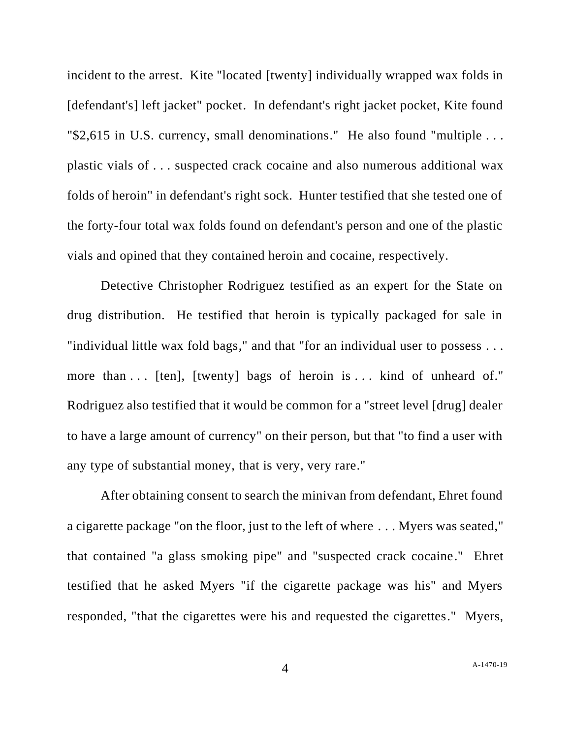incident to the arrest. Kite "located [twenty] individually wrapped wax folds in [defendant's] left jacket" pocket. In defendant's right jacket pocket, Kite found "\$2,615 in U.S. currency, small denominations." He also found "multiple . . . plastic vials of . . . suspected crack cocaine and also numerous additional wax folds of heroin" in defendant's right sock. Hunter testified that she tested one of the forty-four total wax folds found on defendant's person and one of the plastic vials and opined that they contained heroin and cocaine, respectively.

Detective Christopher Rodriguez testified as an expert for the State on drug distribution. He testified that heroin is typically packaged for sale in "individual little wax fold bags," and that "for an individual user to possess . . . more than ... [ten], [twenty] bags of heroin is ... kind of unheard of." Rodriguez also testified that it would be common for a "street level [drug] dealer to have a large amount of currency" on their person, but that "to find a user with any type of substantial money, that is very, very rare."

After obtaining consent to search the minivan from defendant, Ehret found a cigarette package "on the floor, just to the left of where . . . Myers was seated," that contained "a glass smoking pipe" and "suspected crack cocaine." Ehret testified that he asked Myers "if the cigarette package was his" and Myers responded, "that the cigarettes were his and requested the cigarettes." Myers,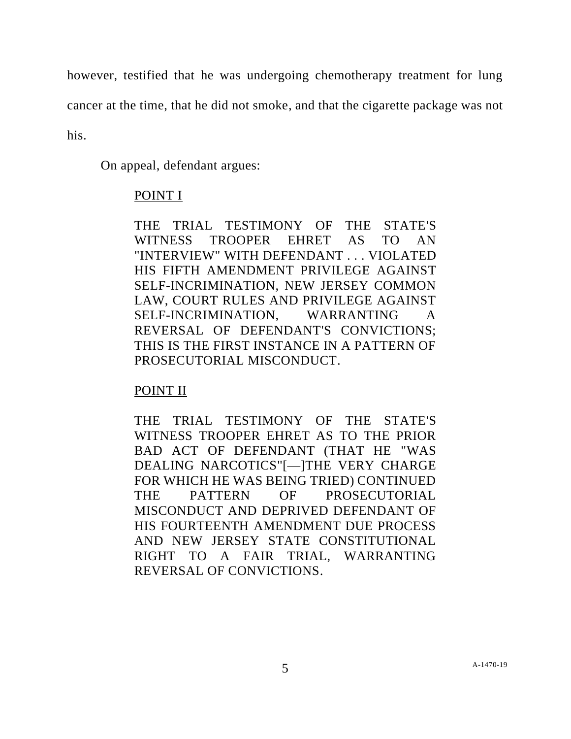however, testified that he was undergoing chemotherapy treatment for lung

cancer at the time, that he did not smoke, and that the cigarette package was not

his.

On appeal, defendant argues:

# POINT I

THE TRIAL TESTIMONY OF THE STATE'S WITNESS TROOPER EHRET AS TO AN "INTERVIEW" WITH DEFENDANT . . . VIOLATED HIS FIFTH AMENDMENT PRIVILEGE AGAINST SELF-INCRIMINATION, NEW JERSEY COMMON LAW, COURT RULES AND PRIVILEGE AGAINST SELF-INCRIMINATION, WARRANTING A REVERSAL OF DEFENDANT'S CONVICTIONS; THIS IS THE FIRST INSTANCE IN A PATTERN OF PROSECUTORIAL MISCONDUCT.

# POINT II

THE TRIAL TESTIMONY OF THE STATE'S WITNESS TROOPER EHRET AS TO THE PRIOR BAD ACT OF DEFENDANT (THAT HE "WAS DEALING NARCOTICS"[—]THE VERY CHARGE FOR WHICH HE WAS BEING TRIED) CONTINUED THE PATTERN OF PROSECUTORIAL MISCONDUCT AND DEPRIVED DEFENDANT OF HIS FOURTEENTH AMENDMENT DUE PROCESS AND NEW JERSEY STATE CONSTITUTIONAL RIGHT TO A FAIR TRIAL, WARRANTING REVERSAL OF CONVICTIONS.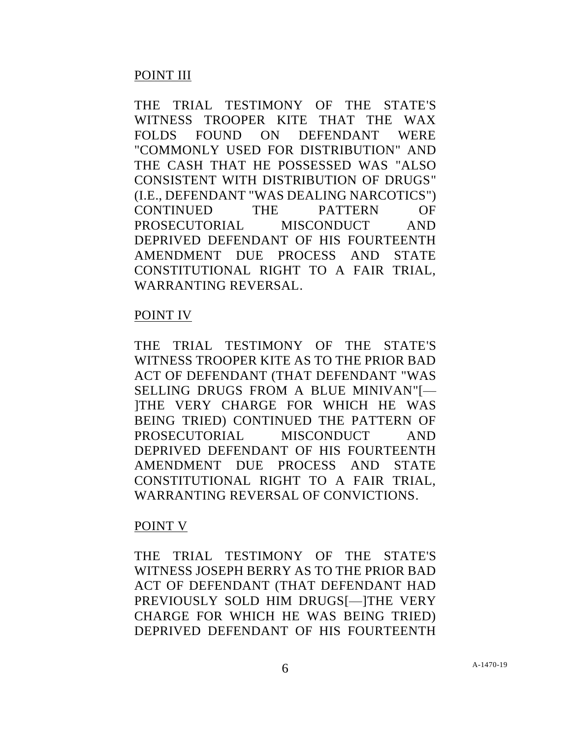## POINT III

THE TRIAL TESTIMONY OF THE STATE'S WITNESS TROOPER KITE THAT THE WAX FOLDS FOUND ON DEFENDANT WERE "COMMONLY USED FOR DISTRIBUTION" AND THE CASH THAT HE POSSESSED WAS "ALSO CONSISTENT WITH DISTRIBUTION OF DRUGS" (I.E., DEFENDANT "WAS DEALING NARCOTICS") CONTINUED THE PATTERN OF PROSECUTORIAL MISCONDUCT AND DEPRIVED DEFENDANT OF HIS FOURTEENTH AMENDMENT DUE PROCESS AND STATE CONSTITUTIONAL RIGHT TO A FAIR TRIAL, WARRANTING REVERSAL.

### POINT IV

THE TRIAL TESTIMONY OF THE STATE'S WITNESS TROOPER KITE AS TO THE PRIOR BAD ACT OF DEFENDANT (THAT DEFENDANT "WAS SELLING DRUGS FROM A BLUE MINIVAN"[— ]THE VERY CHARGE FOR WHICH HE WAS BEING TRIED) CONTINUED THE PATTERN OF PROSECUTORIAL MISCONDUCT AND DEPRIVED DEFENDANT OF HIS FOURTEENTH AMENDMENT DUE PROCESS AND STATE CONSTITUTIONAL RIGHT TO A FAIR TRIAL, WARRANTING REVERSAL OF CONVICTIONS.

### POINT V

THE TRIAL TESTIMONY OF THE STATE'S WITNESS JOSEPH BERRY AS TO THE PRIOR BAD ACT OF DEFENDANT (THAT DEFENDANT HAD PREVIOUSLY SOLD HIM DRUGS[-ITHE VERY CHARGE FOR WHICH HE WAS BEING TRIED) DEPRIVED DEFENDANT OF HIS FOURTEENTH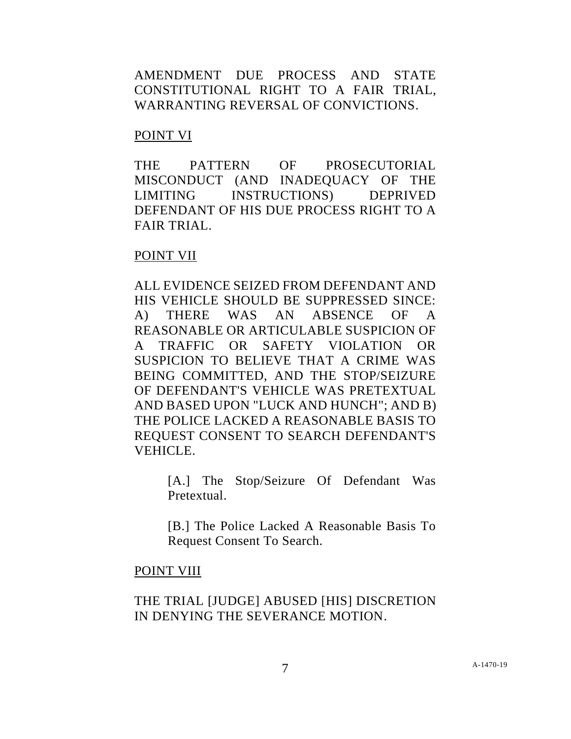AMENDMENT DUE PROCESS AND STATE CONSTITUTIONAL RIGHT TO A FAIR TRIAL, WARRANTING REVERSAL OF CONVICTIONS.

#### POINT VI

THE PATTERN OF PROSECUTORIAL MISCONDUCT (AND INADEQUACY OF THE LIMITING INSTRUCTIONS) DEPRIVED DEFENDANT OF HIS DUE PROCESS RIGHT TO A FAIR TRIAL.

### POINT VII

ALL EVIDENCE SEIZED FROM DEFENDANT AND HIS VEHICLE SHOULD BE SUPPRESSED SINCE: A) THERE WAS AN ABSENCE OF A REASONABLE OR ARTICULABLE SUSPICION OF A TRAFFIC OR SAFETY VIOLATION OR SUSPICION TO BELIEVE THAT A CRIME WAS BEING COMMITTED, AND THE STOP/SEIZURE OF DEFENDANT'S VEHICLE WAS PRETEXTUAL AND BASED UPON "LUCK AND HUNCH"; AND B) THE POLICE LACKED A REASONABLE BASIS TO REQUEST CONSENT TO SEARCH DEFENDANT'S VEHICLE.

> [A.] The Stop/Seizure Of Defendant Was Pretextual.

> [B.] The Police Lacked A Reasonable Basis To Request Consent To Search.

### POINT VIII

# THE TRIAL [JUDGE] ABUSED [HIS] DISCRETION IN DENYING THE SEVERANCE MOTION.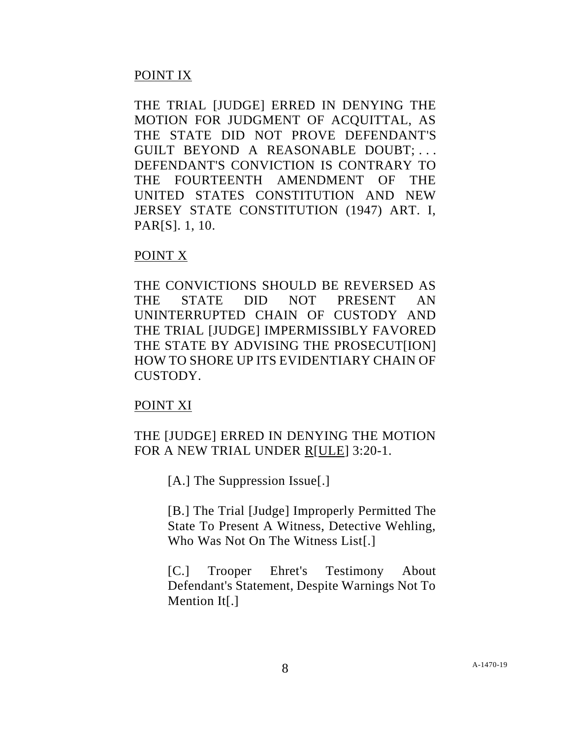# POINT IX

THE TRIAL [JUDGE] ERRED IN DENYING THE MOTION FOR JUDGMENT OF ACQUITTAL, AS THE STATE DID NOT PROVE DEFENDANT'S GUILT BEYOND A REASONABLE DOUBT; . . . DEFENDANT'S CONVICTION IS CONTRARY TO THE FOURTEENTH AMENDMENT OF THE UNITED STATES CONSTITUTION AND NEW JERSEY STATE CONSTITUTION (1947) ART. I, PAR[S]. 1, 10.

### POINT X

THE CONVICTIONS SHOULD BE REVERSED AS THE STATE DID NOT PRESENT AN UNINTERRUPTED CHAIN OF CUSTODY AND THE TRIAL [JUDGE] IMPERMISSIBLY FAVORED THE STATE BY ADVISING THE PROSECUT[ION] HOW TO SHORE UP ITS EVIDENTIARY CHAIN OF CUSTODY.

### POINT XI

# THE [JUDGE] ERRED IN DENYING THE MOTION FOR A NEW TRIAL UNDER R[ULE] 3:20-1.

[A.] The Suppression Issue[.]

[B.] The Trial [Judge] Improperly Permitted The State To Present A Witness, Detective Wehling, Who Was Not On The Witness List[.]

[C.] Trooper Ehret's Testimony About Defendant's Statement, Despite Warnings Not To Mention It<sup>[.]</sup>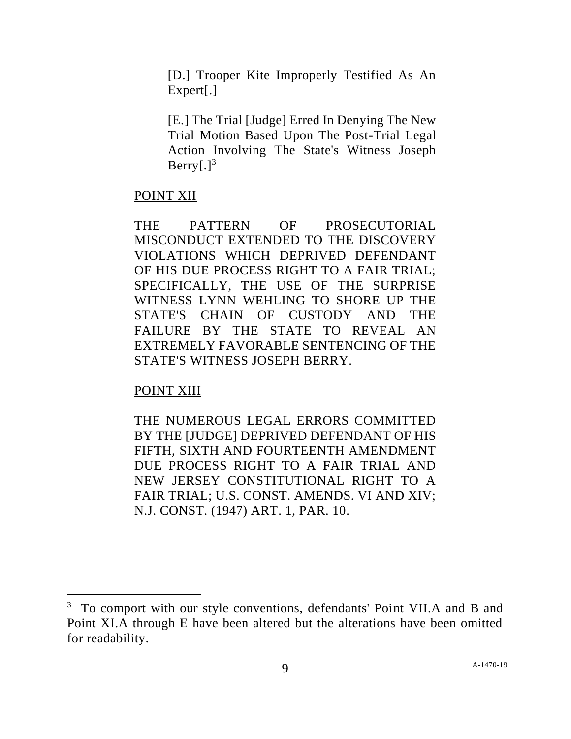[D.] Trooper Kite Improperly Testified As An Expert[.]

[E.] The Trial [Judge] Erred In Denying The New Trial Motion Based Upon The Post-Trial Legal Action Involving The State's Witness Joseph  $Berry[.]<sup>3</sup>$ 

### POINT XII

THE PATTERN OF PROSECUTORIAL MISCONDUCT EXTENDED TO THE DISCOVERY VIOLATIONS WHICH DEPRIVED DEFENDANT OF HIS DUE PROCESS RIGHT TO A FAIR TRIAL; SPECIFICALLY, THE USE OF THE SURPRISE WITNESS LYNN WEHLING TO SHORE UP THE STATE'S CHAIN OF CUSTODY AND THE FAILURE BY THE STATE TO REVEAL AN EXTREMELY FAVORABLE SENTENCING OF THE STATE'S WITNESS JOSEPH BERRY.

# POINT XIII

THE NUMEROUS LEGAL ERRORS COMMITTED BY THE [JUDGE] DEPRIVED DEFENDANT OF HIS FIFTH, SIXTH AND FOURTEENTH AMENDMENT DUE PROCESS RIGHT TO A FAIR TRIAL AND NEW JERSEY CONSTITUTIONAL RIGHT TO A FAIR TRIAL; U.S. CONST. AMENDS. VI AND XIV; N.J. CONST. (1947) ART. 1, PAR. 10.

<sup>&</sup>lt;sup>3</sup> To comport with our style conventions, defendants' Point VII.A and B and Point XI.A through E have been altered but the alterations have been omitted for readability.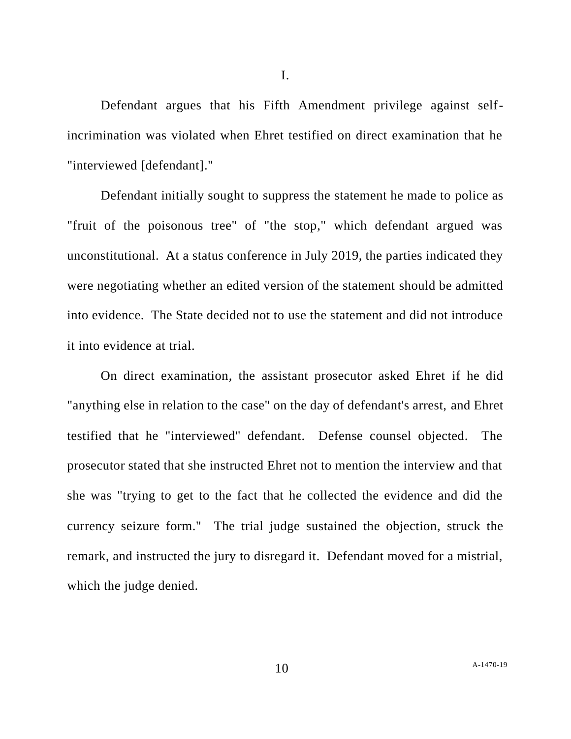Defendant argues that his Fifth Amendment privilege against selfincrimination was violated when Ehret testified on direct examination that he "interviewed [defendant]."

Defendant initially sought to suppress the statement he made to police as "fruit of the poisonous tree" of "the stop," which defendant argued was unconstitutional. At a status conference in July 2019, the parties indicated they were negotiating whether an edited version of the statement should be admitted into evidence. The State decided not to use the statement and did not introduce it into evidence at trial.

On direct examination, the assistant prosecutor asked Ehret if he did "anything else in relation to the case" on the day of defendant's arrest, and Ehret testified that he "interviewed" defendant. Defense counsel objected. The prosecutor stated that she instructed Ehret not to mention the interview and that she was "trying to get to the fact that he collected the evidence and did the currency seizure form." The trial judge sustained the objection, struck the remark, and instructed the jury to disregard it. Defendant moved for a mistrial, which the judge denied.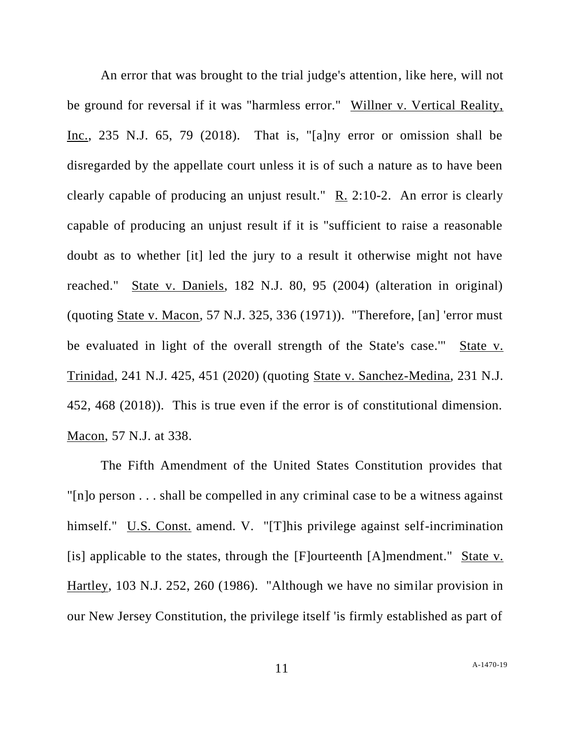An error that was brought to the trial judge's attention, like here, will not be ground for reversal if it was "harmless error." Willner v. Vertical Reality, Inc., 235 N.J. 65, 79 (2018). That is, "[a]ny error or omission shall be disregarded by the appellate court unless it is of such a nature as to have been clearly capable of producing an unjust result." R. 2:10-2. An error is clearly capable of producing an unjust result if it is "sufficient to raise a reasonable doubt as to whether [it] led the jury to a result it otherwise might not have reached." State v. Daniels, 182 N.J. 80, 95 (2004) (alteration in original) (quoting State v. Macon, 57 N.J. 325, 336 (1971)). "Therefore, [an] 'error must be evaluated in light of the overall strength of the State's case.'" State v. Trinidad, 241 N.J. 425, 451 (2020) (quoting State v. Sanchez-Medina, 231 N.J. 452, 468 (2018)). This is true even if the error is of constitutional dimension. Macon, 57 N.J. at 338.

The Fifth Amendment of the United States Constitution provides that "[n]o person . . . shall be compelled in any criminal case to be a witness against himself." U.S. Const. amend. V. "[T]his privilege against self-incrimination [is] applicable to the states, through the  $[F]$ ourteenth  $[A]$ mendment." State v. Hartley, 103 N.J. 252, 260 (1986). "Although we have no similar provision in our New Jersey Constitution, the privilege itself 'is firmly established as part of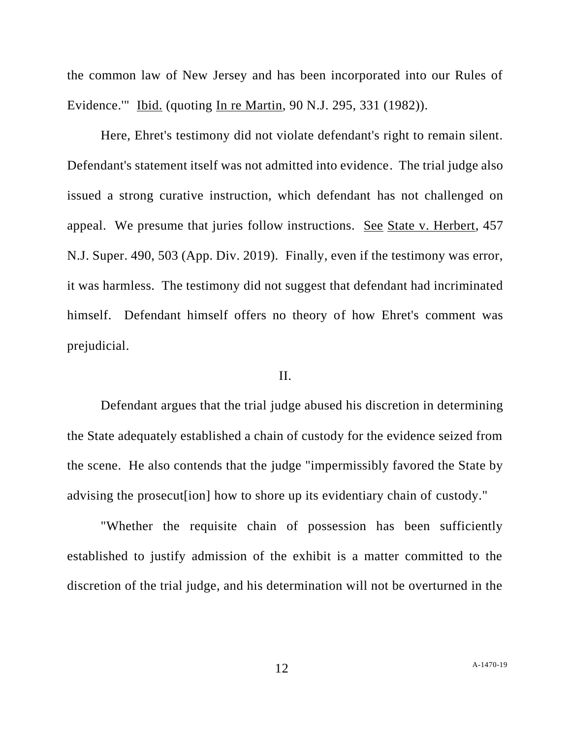the common law of New Jersey and has been incorporated into our Rules of Evidence.'" Ibid. (quoting In re Martin, 90 N.J. 295, 331 (1982)).

Here, Ehret's testimony did not violate defendant's right to remain silent. Defendant's statement itself was not admitted into evidence. The trial judge also issued a strong curative instruction, which defendant has not challenged on appeal. We presume that juries follow instructions. See State v. Herbert, 457 N.J. Super. 490, 503 (App. Div. 2019). Finally, even if the testimony was error, it was harmless. The testimony did not suggest that defendant had incriminated himself. Defendant himself offers no theory of how Ehret's comment was prejudicial.

#### II.

Defendant argues that the trial judge abused his discretion in determining the State adequately established a chain of custody for the evidence seized from the scene. He also contends that the judge "impermissibly favored the State by advising the prosecut[ion] how to shore up its evidentiary chain of custody."

"Whether the requisite chain of possession has been sufficiently established to justify admission of the exhibit is a matter committed to the discretion of the trial judge, and his determination will not be overturned in the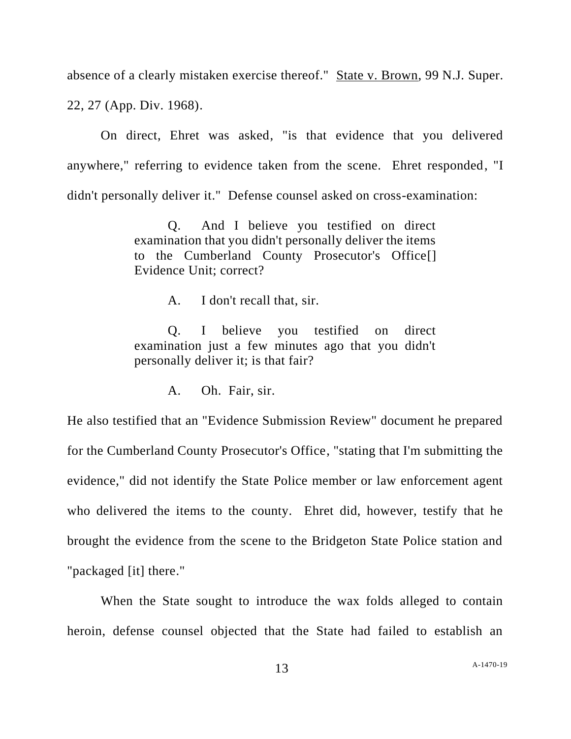absence of a clearly mistaken exercise thereof." State v. Brown, 99 N.J. Super. 22, 27 (App. Div. 1968).

On direct, Ehret was asked, "is that evidence that you delivered anywhere," referring to evidence taken from the scene. Ehret responded, "I didn't personally deliver it." Defense counsel asked on cross-examination:

> Q. And I believe you testified on direct examination that you didn't personally deliver the items to the Cumberland County Prosecutor's Office[] Evidence Unit; correct?

> > A. I don't recall that, sir.

Q. I believe you testified on direct examination just a few minutes ago that you didn't personally deliver it; is that fair?

A. Oh. Fair, sir.

He also testified that an "Evidence Submission Review" document he prepared for the Cumberland County Prosecutor's Office, "stating that I'm submitting the evidence," did not identify the State Police member or law enforcement agent who delivered the items to the county. Ehret did, however, testify that he brought the evidence from the scene to the Bridgeton State Police station and "packaged [it] there."

When the State sought to introduce the wax folds alleged to contain heroin, defense counsel objected that the State had failed to establish an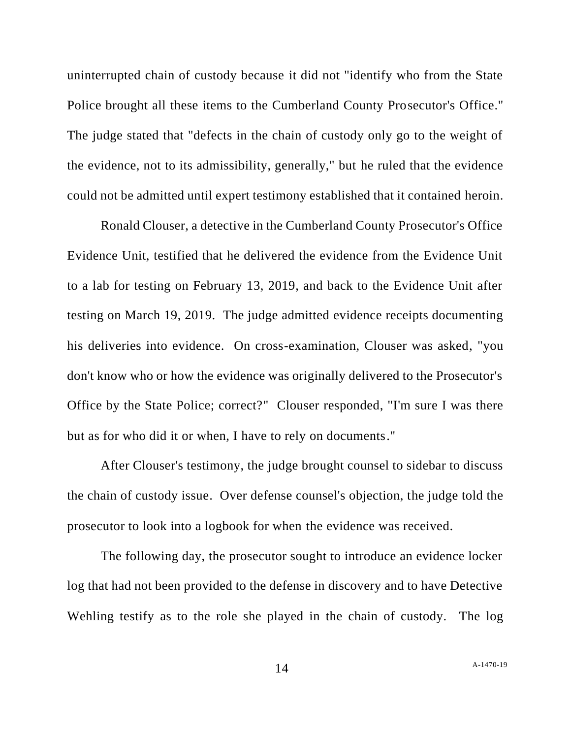uninterrupted chain of custody because it did not "identify who from the State Police brought all these items to the Cumberland County Prosecutor's Office." The judge stated that "defects in the chain of custody only go to the weight of the evidence, not to its admissibility, generally," but he ruled that the evidence could not be admitted until expert testimony established that it contained heroin.

Ronald Clouser, a detective in the Cumberland County Prosecutor's Office Evidence Unit, testified that he delivered the evidence from the Evidence Unit to a lab for testing on February 13, 2019, and back to the Evidence Unit after testing on March 19, 2019. The judge admitted evidence receipts documenting his deliveries into evidence. On cross-examination, Clouser was asked, "you don't know who or how the evidence was originally delivered to the Prosecutor's Office by the State Police; correct?" Clouser responded, "I'm sure I was there but as for who did it or when, I have to rely on documents."

After Clouser's testimony, the judge brought counsel to sidebar to discuss the chain of custody issue. Over defense counsel's objection, the judge told the prosecutor to look into a logbook for when the evidence was received.

The following day, the prosecutor sought to introduce an evidence locker log that had not been provided to the defense in discovery and to have Detective Wehling testify as to the role she played in the chain of custody. The log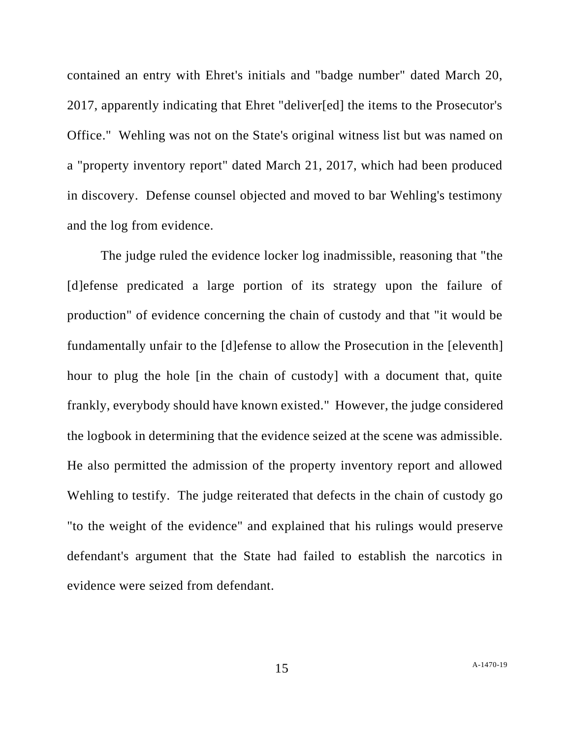contained an entry with Ehret's initials and "badge number" dated March 20, 2017, apparently indicating that Ehret "deliver[ed] the items to the Prosecutor's Office." Wehling was not on the State's original witness list but was named on a "property inventory report" dated March 21, 2017, which had been produced in discovery. Defense counsel objected and moved to bar Wehling's testimony and the log from evidence.

The judge ruled the evidence locker log inadmissible, reasoning that "the [d]efense predicated a large portion of its strategy upon the failure of production" of evidence concerning the chain of custody and that "it would be fundamentally unfair to the [d]efense to allow the Prosecution in the [eleventh] hour to plug the hole [in the chain of custody] with a document that, quite frankly, everybody should have known existed." However, the judge considered the logbook in determining that the evidence seized at the scene was admissible. He also permitted the admission of the property inventory report and allowed Wehling to testify. The judge reiterated that defects in the chain of custody go "to the weight of the evidence" and explained that his rulings would preserve defendant's argument that the State had failed to establish the narcotics in evidence were seized from defendant.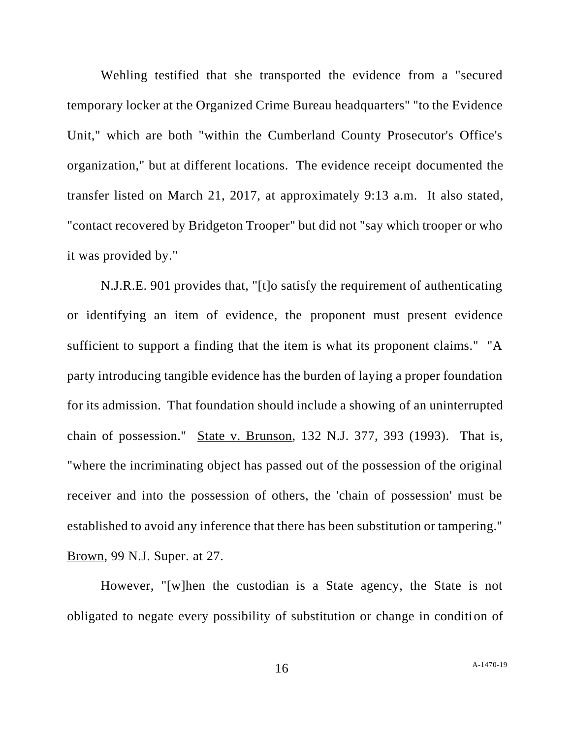Wehling testified that she transported the evidence from a "secured temporary locker at the Organized Crime Bureau headquarters" "to the Evidence Unit," which are both "within the Cumberland County Prosecutor's Office's organization," but at different locations. The evidence receipt documented the transfer listed on March 21, 2017, at approximately 9:13 a.m. It also stated, "contact recovered by Bridgeton Trooper" but did not "say which trooper or who it was provided by."

N.J.R.E. 901 provides that, "[t]o satisfy the requirement of authenticating or identifying an item of evidence, the proponent must present evidence sufficient to support a finding that the item is what its proponent claims." "A party introducing tangible evidence has the burden of laying a proper foundation for its admission. That foundation should include a showing of an uninterrupted chain of possession." State v. Brunson, 132 N.J. 377, 393 (1993). That is, "where the incriminating object has passed out of the possession of the original receiver and into the possession of others, the 'chain of possession' must be established to avoid any inference that there has been substitution or tampering." Brown, 99 N.J. Super. at 27.

However, "[w]hen the custodian is a State agency, the State is not obligated to negate every possibility of substitution or change in condition of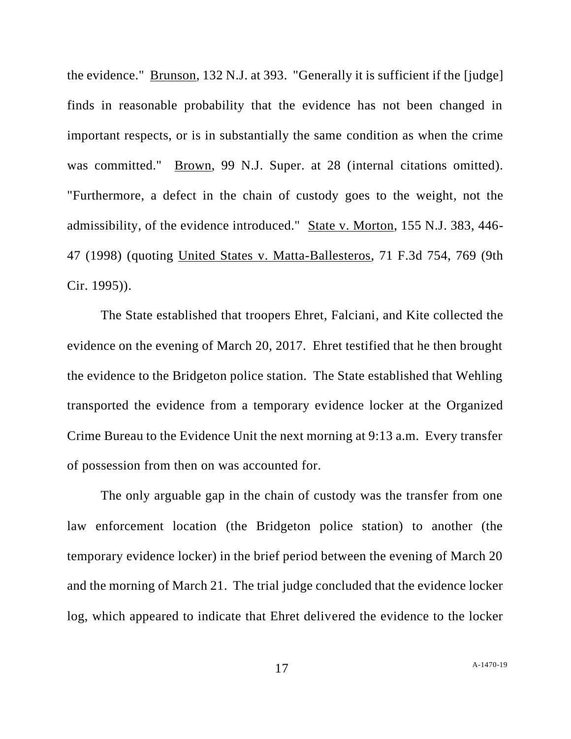the evidence." Brunson, 132 N.J. at 393. "Generally it is sufficient if the [judge] finds in reasonable probability that the evidence has not been changed in important respects, or is in substantially the same condition as when the crime was committed." Brown, 99 N.J. Super. at 28 (internal citations omitted). "Furthermore, a defect in the chain of custody goes to the weight, not the admissibility, of the evidence introduced." State v. Morton, 155 N.J. 383, 446- 47 (1998) (quoting United States v. Matta-Ballesteros, 71 F.3d 754, 769 (9th Cir. 1995)).

The State established that troopers Ehret, Falciani, and Kite collected the evidence on the evening of March 20, 2017. Ehret testified that he then brought the evidence to the Bridgeton police station. The State established that Wehling transported the evidence from a temporary evidence locker at the Organized Crime Bureau to the Evidence Unit the next morning at 9:13 a.m. Every transfer of possession from then on was accounted for.

The only arguable gap in the chain of custody was the transfer from one law enforcement location (the Bridgeton police station) to another (the temporary evidence locker) in the brief period between the evening of March 20 and the morning of March 21. The trial judge concluded that the evidence locker log, which appeared to indicate that Ehret delivered the evidence to the locker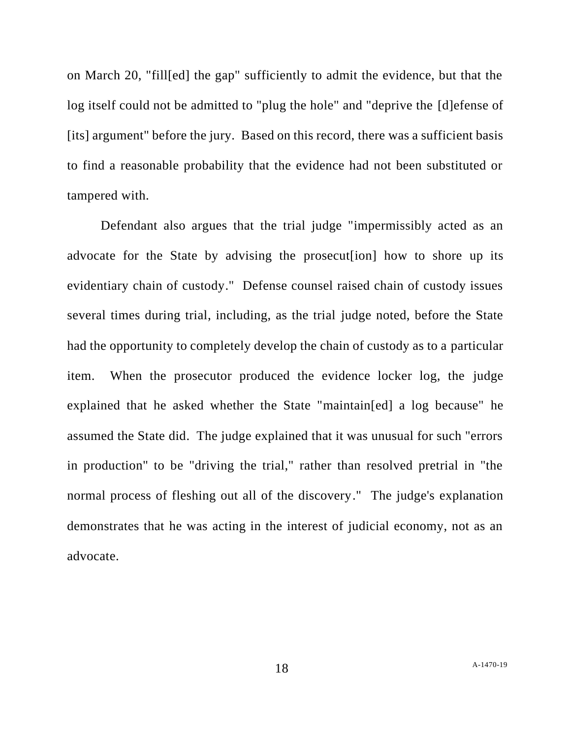on March 20, "fill[ed] the gap" sufficiently to admit the evidence, but that the log itself could not be admitted to "plug the hole" and "deprive the [d]efense of [its] argument" before the jury. Based on this record, there was a sufficient basis to find a reasonable probability that the evidence had not been substituted or tampered with.

Defendant also argues that the trial judge "impermissibly acted as an advocate for the State by advising the prosecut[ion] how to shore up its evidentiary chain of custody." Defense counsel raised chain of custody issues several times during trial, including, as the trial judge noted, before the State had the opportunity to completely develop the chain of custody as to a particular item. When the prosecutor produced the evidence locker log, the judge explained that he asked whether the State "maintain[ed] a log because" he assumed the State did. The judge explained that it was unusual for such "errors in production" to be "driving the trial," rather than resolved pretrial in "the normal process of fleshing out all of the discovery." The judge's explanation demonstrates that he was acting in the interest of judicial economy, not as an advocate.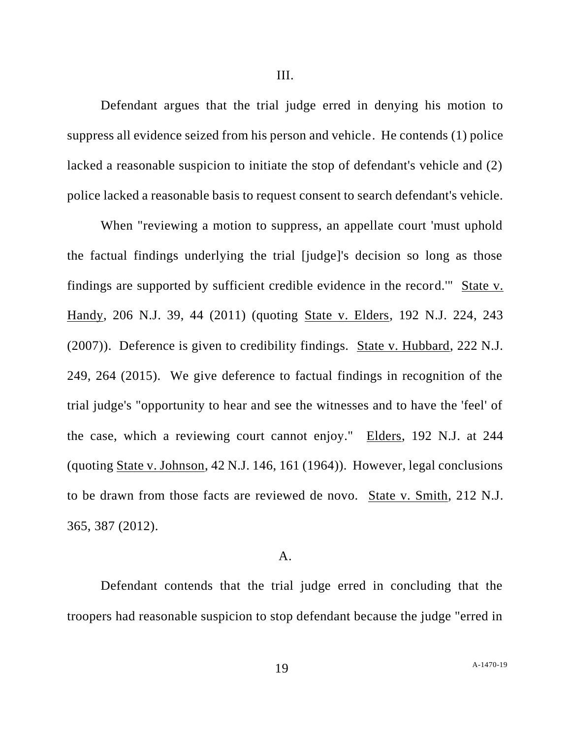III.

Defendant argues that the trial judge erred in denying his motion to suppress all evidence seized from his person and vehicle. He contends (1) police lacked a reasonable suspicion to initiate the stop of defendant's vehicle and (2) police lacked a reasonable basis to request consent to search defendant's vehicle.

When "reviewing a motion to suppress, an appellate court 'must uphold the factual findings underlying the trial [judge]'s decision so long as those findings are supported by sufficient credible evidence in the record.'" State v. Handy, 206 N.J. 39, 44 (2011) (quoting State v. Elders, 192 N.J. 224, 243 (2007)). Deference is given to credibility findings. State v. Hubbard, 222 N.J. 249, 264 (2015). We give deference to factual findings in recognition of the trial judge's "opportunity to hear and see the witnesses and to have the 'feel' of the case, which a reviewing court cannot enjoy." Elders, 192 N.J. at 244 (quoting State v. Johnson, 42 N.J. 146, 161 (1964)). However, legal conclusions to be drawn from those facts are reviewed de novo. State v. Smith, 212 N.J. 365, 387 (2012).

#### A.

Defendant contends that the trial judge erred in concluding that the troopers had reasonable suspicion to stop defendant because the judge "erred in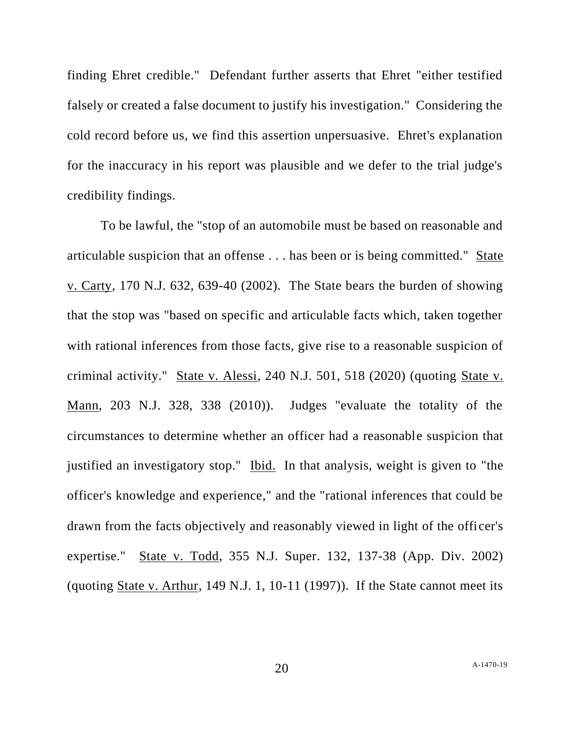finding Ehret credible." Defendant further asserts that Ehret "either testified falsely or created a false document to justify his investigation." Considering the cold record before us, we find this assertion unpersuasive. Ehret's explanation for the inaccuracy in his report was plausible and we defer to the trial judge's credibility findings.

To be lawful, the "stop of an automobile must be based on reasonable and articulable suspicion that an offense . . . has been or is being committed." State v. Carty, 170 N.J. 632, 639-40 (2002). The State bears the burden of showing that the stop was "based on specific and articulable facts which, taken together with rational inferences from those facts, give rise to a reasonable suspicion of criminal activity." State v. Alessi, 240 N.J. 501, 518 (2020) (quoting State v. Mann, 203 N.J. 328, 338 (2010)). Judges "evaluate the totality of the circumstances to determine whether an officer had a reasonable suspicion that justified an investigatory stop." Ibid. In that analysis, weight is given to "the officer's knowledge and experience," and the "rational inferences that could be drawn from the facts objectively and reasonably viewed in light of the officer's expertise." State v. Todd, 355 N.J. Super. 132, 137-38 (App. Div. 2002) (quoting State v. Arthur, 149 N.J. 1, 10-11 (1997)). If the State cannot meet its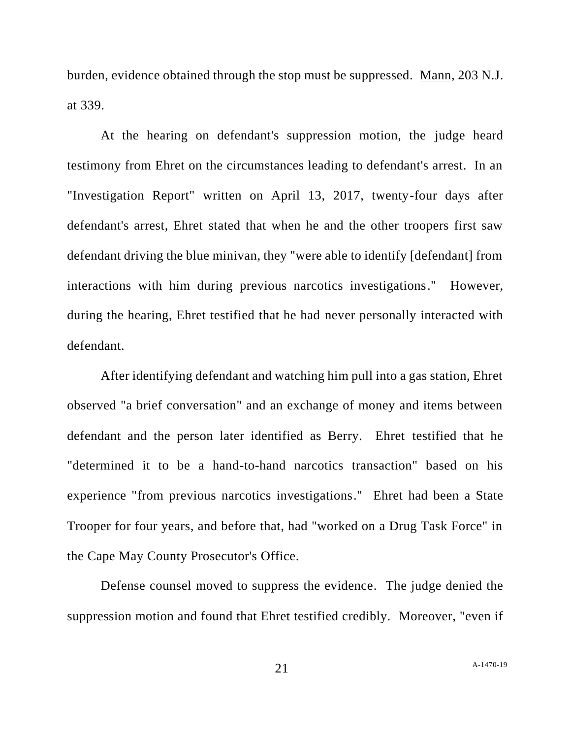burden, evidence obtained through the stop must be suppressed. Mann, 203 N.J. at 339.

At the hearing on defendant's suppression motion, the judge heard testimony from Ehret on the circumstances leading to defendant's arrest. In an "Investigation Report" written on April 13, 2017, twenty-four days after defendant's arrest, Ehret stated that when he and the other troopers first saw defendant driving the blue minivan, they "were able to identify [defendant] from interactions with him during previous narcotics investigations." However, during the hearing, Ehret testified that he had never personally interacted with defendant.

After identifying defendant and watching him pull into a gas station, Ehret observed "a brief conversation" and an exchange of money and items between defendant and the person later identified as Berry. Ehret testified that he "determined it to be a hand-to-hand narcotics transaction" based on his experience "from previous narcotics investigations." Ehret had been a State Trooper for four years, and before that, had "worked on a Drug Task Force" in the Cape May County Prosecutor's Office.

Defense counsel moved to suppress the evidence. The judge denied the suppression motion and found that Ehret testified credibly. Moreover, "even if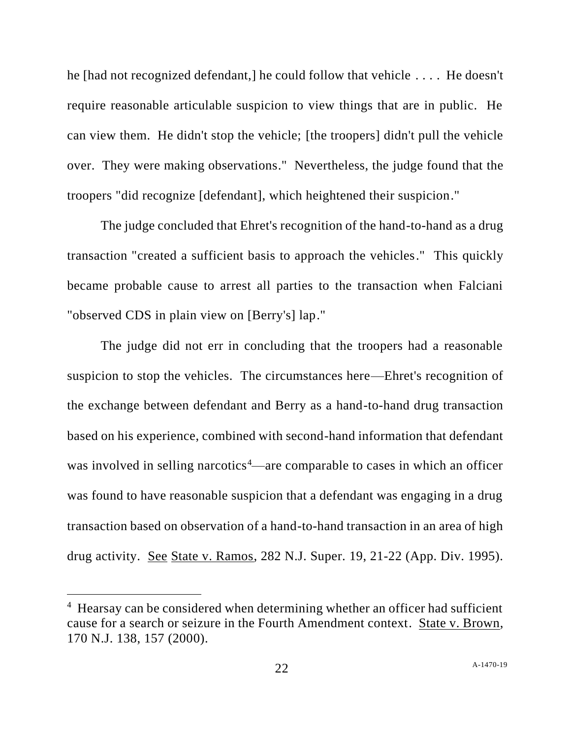he [had not recognized defendant,] he could follow that vehicle . . . . He doesn't require reasonable articulable suspicion to view things that are in public. He can view them. He didn't stop the vehicle; [the troopers] didn't pull the vehicle over. They were making observations." Nevertheless, the judge found that the troopers "did recognize [defendant], which heightened their suspicion."

The judge concluded that Ehret's recognition of the hand-to-hand as a drug transaction "created a sufficient basis to approach the vehicles." This quickly became probable cause to arrest all parties to the transaction when Falciani "observed CDS in plain view on [Berry's] lap."

The judge did not err in concluding that the troopers had a reasonable suspicion to stop the vehicles. The circumstances here—Ehret's recognition of the exchange between defendant and Berry as a hand-to-hand drug transaction based on his experience, combined with second-hand information that defendant was involved in selling narcotics<sup>4</sup>—are comparable to cases in which an officer was found to have reasonable suspicion that a defendant was engaging in a drug transaction based on observation of a hand-to-hand transaction in an area of high drug activity. See State v. Ramos, 282 N.J. Super. 19, 21-22 (App. Div. 1995).

<sup>&</sup>lt;sup>4</sup> Hearsay can be considered when determining whether an officer had sufficient cause for a search or seizure in the Fourth Amendment context. State v. Brown, 170 N.J. 138, 157 (2000).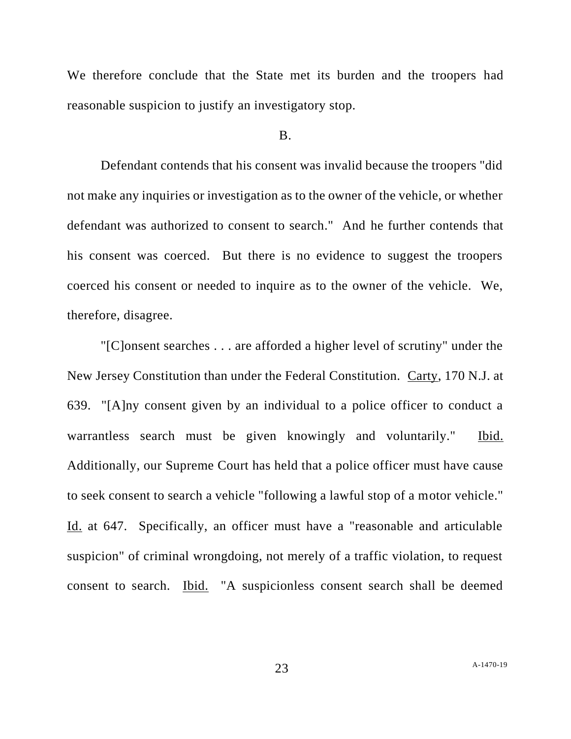We therefore conclude that the State met its burden and the troopers had reasonable suspicion to justify an investigatory stop.

#### B.

Defendant contends that his consent was invalid because the troopers "did not make any inquiries or investigation as to the owner of the vehicle, or whether defendant was authorized to consent to search." And he further contends that his consent was coerced. But there is no evidence to suggest the troopers coerced his consent or needed to inquire as to the owner of the vehicle. We, therefore, disagree.

"[C]onsent searches . . . are afforded a higher level of scrutiny" under the New Jersey Constitution than under the Federal Constitution. Carty, 170 N.J. at 639. "[A]ny consent given by an individual to a police officer to conduct a warrantless search must be given knowingly and voluntarily." Ibid. Additionally, our Supreme Court has held that a police officer must have cause to seek consent to search a vehicle "following a lawful stop of a motor vehicle." Id. at 647. Specifically, an officer must have a "reasonable and articulable suspicion" of criminal wrongdoing, not merely of a traffic violation, to request consent to search. Ibid. "A suspicionless consent search shall be deemed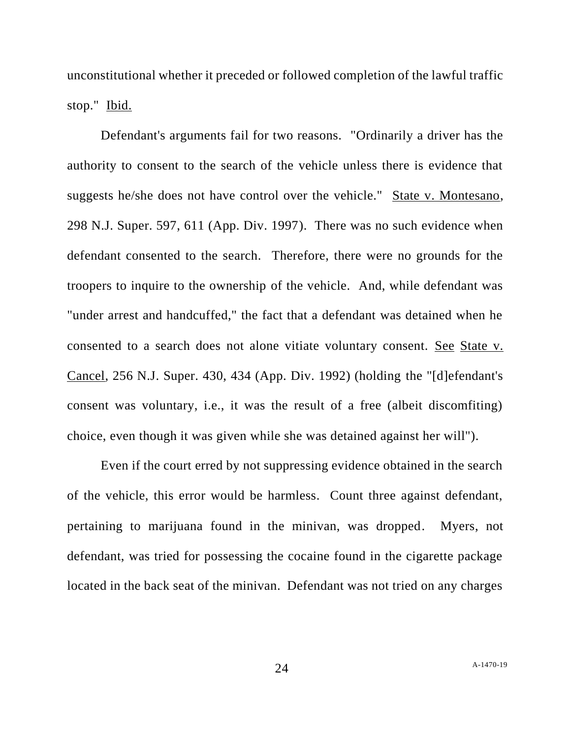unconstitutional whether it preceded or followed completion of the lawful traffic stop." Ibid.

Defendant's arguments fail for two reasons. "Ordinarily a driver has the authority to consent to the search of the vehicle unless there is evidence that suggests he/she does not have control over the vehicle." State v. Montesano, 298 N.J. Super. 597, 611 (App. Div. 1997). There was no such evidence when defendant consented to the search. Therefore, there were no grounds for the troopers to inquire to the ownership of the vehicle. And, while defendant was "under arrest and handcuffed," the fact that a defendant was detained when he consented to a search does not alone vitiate voluntary consent. See State v. Cancel, 256 N.J. Super. 430, 434 (App. Div. 1992) (holding the "[d]efendant's consent was voluntary, i.e., it was the result of a free (albeit discomfiting) choice, even though it was given while she was detained against her will").

Even if the court erred by not suppressing evidence obtained in the search of the vehicle, this error would be harmless. Count three against defendant, pertaining to marijuana found in the minivan, was dropped. Myers, not defendant, was tried for possessing the cocaine found in the cigarette package located in the back seat of the minivan. Defendant was not tried on any charges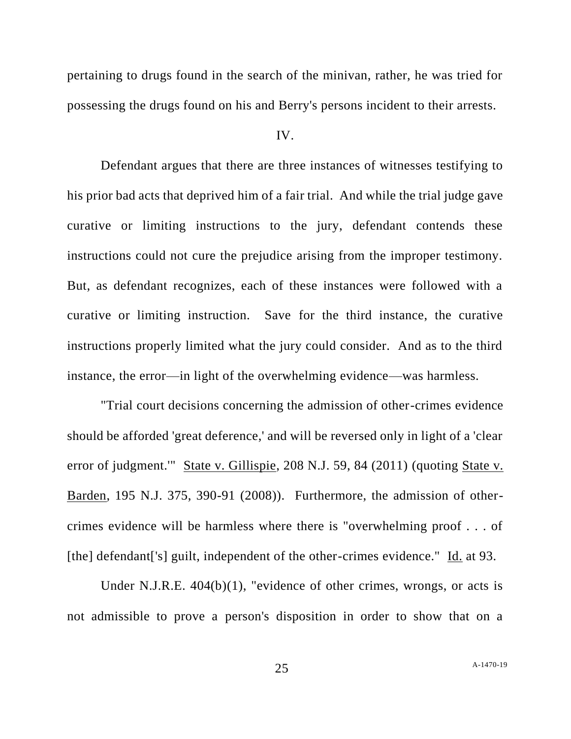pertaining to drugs found in the search of the minivan, rather, he was tried for possessing the drugs found on his and Berry's persons incident to their arrests.

#### IV.

Defendant argues that there are three instances of witnesses testifying to his prior bad acts that deprived him of a fair trial. And while the trial judge gave curative or limiting instructions to the jury, defendant contends these instructions could not cure the prejudice arising from the improper testimony. But, as defendant recognizes, each of these instances were followed with a curative or limiting instruction. Save for the third instance, the curative instructions properly limited what the jury could consider. And as to the third instance, the error—in light of the overwhelming evidence—was harmless.

"Trial court decisions concerning the admission of other-crimes evidence should be afforded 'great deference,' and will be reversed only in light of a 'clear error of judgment." State v. Gillispie, 208 N.J. 59, 84 (2011) (quoting State v. Barden, 195 N.J. 375, 390-91 (2008)). Furthermore, the admission of othercrimes evidence will be harmless where there is "overwhelming proof . . . of [the] defendant['s] guilt, independent of the other-crimes evidence." Id. at 93.

Under N.J.R.E. 404(b)(1), "evidence of other crimes, wrongs, or acts is not admissible to prove a person's disposition in order to show that on a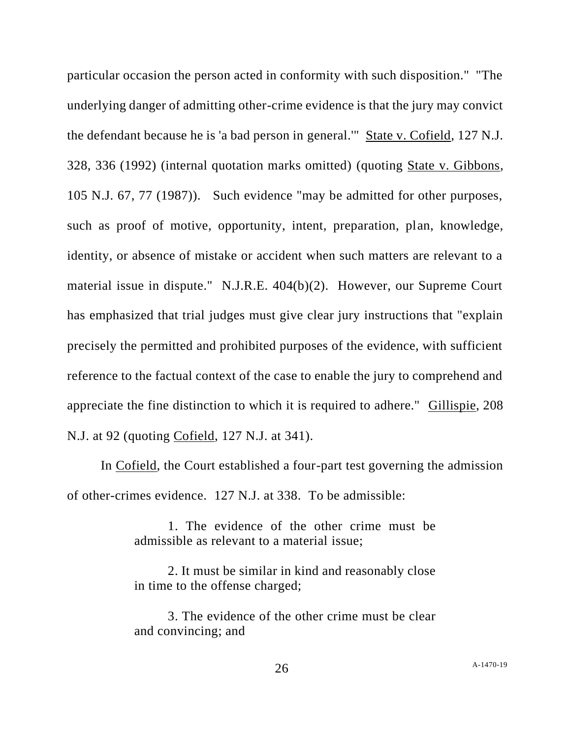particular occasion the person acted in conformity with such disposition." "The underlying danger of admitting other-crime evidence is that the jury may convict the defendant because he is 'a bad person in general.'" State v. Cofield, 127 N.J. 328, 336 (1992) (internal quotation marks omitted) (quoting State v. Gibbons, 105 N.J. 67, 77 (1987)). Such evidence "may be admitted for other purposes, such as proof of motive, opportunity, intent, preparation, plan, knowledge, identity, or absence of mistake or accident when such matters are relevant to a material issue in dispute." N.J.R.E. 404(b)(2). However, our Supreme Court has emphasized that trial judges must give clear jury instructions that "explain precisely the permitted and prohibited purposes of the evidence, with sufficient reference to the factual context of the case to enable the jury to comprehend and appreciate the fine distinction to which it is required to adhere." Gillispie, 208 N.J. at 92 (quoting Cofield, 127 N.J. at 341).

In Cofield, the Court established a four-part test governing the admission of other-crimes evidence. 127 N.J. at 338. To be admissible:

> 1. The evidence of the other crime must be admissible as relevant to a material issue;

> 2. It must be similar in kind and reasonably close in time to the offense charged;

> 3. The evidence of the other crime must be clear and convincing; and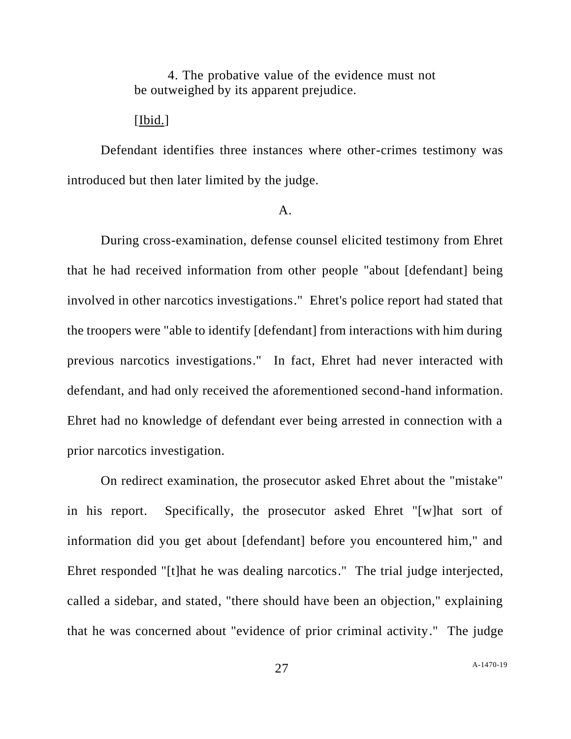4. The probative value of the evidence must not be outweighed by its apparent prejudice.

### [Ibid.]

Defendant identifies three instances where other-crimes testimony was introduced but then later limited by the judge.

### A.

During cross-examination, defense counsel elicited testimony from Ehret that he had received information from other people "about [defendant] being involved in other narcotics investigations." Ehret's police report had stated that the troopers were "able to identify [defendant] from interactions with him during previous narcotics investigations." In fact, Ehret had never interacted with defendant, and had only received the aforementioned second-hand information. Ehret had no knowledge of defendant ever being arrested in connection with a prior narcotics investigation.

On redirect examination, the prosecutor asked Ehret about the "mistake" in his report. Specifically, the prosecutor asked Ehret "[w]hat sort of information did you get about [defendant] before you encountered him," and Ehret responded "[t]hat he was dealing narcotics." The trial judge interjected, called a sidebar, and stated, "there should have been an objection," explaining that he was concerned about "evidence of prior criminal activity." The judge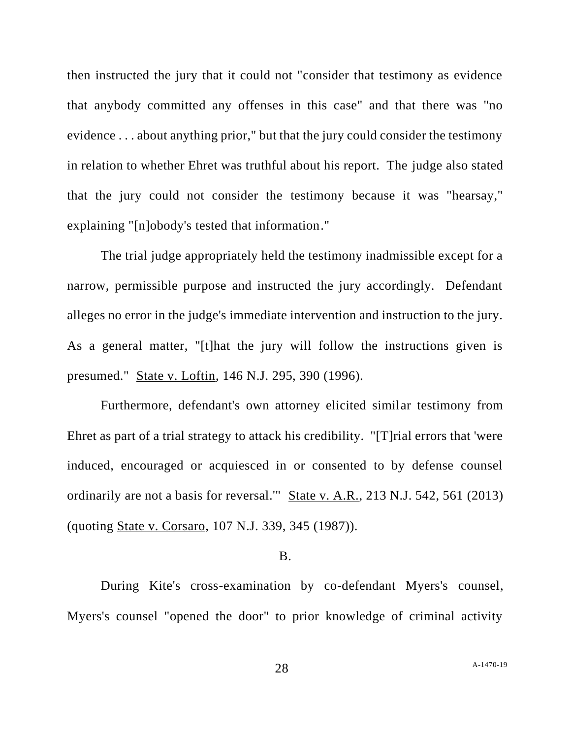then instructed the jury that it could not "consider that testimony as evidence that anybody committed any offenses in this case" and that there was "no evidence . . . about anything prior," but that the jury could consider the testimony in relation to whether Ehret was truthful about his report. The judge also stated that the jury could not consider the testimony because it was "hearsay," explaining "[n]obody's tested that information."

The trial judge appropriately held the testimony inadmissible except for a narrow, permissible purpose and instructed the jury accordingly. Defendant alleges no error in the judge's immediate intervention and instruction to the jury. As a general matter, "[t]hat the jury will follow the instructions given is presumed." State v. Loftin, 146 N.J. 295, 390 (1996).

Furthermore, defendant's own attorney elicited similar testimony from Ehret as part of a trial strategy to attack his credibility. "[T]rial errors that 'were induced, encouraged or acquiesced in or consented to by defense counsel ordinarily are not a basis for reversal.'" State v. A.R., 213 N.J. 542, 561 (2013) (quoting State v. Corsaro, 107 N.J. 339, 345 (1987)).

#### B.

During Kite's cross-examination by co-defendant Myers's counsel, Myers's counsel "opened the door" to prior knowledge of criminal activity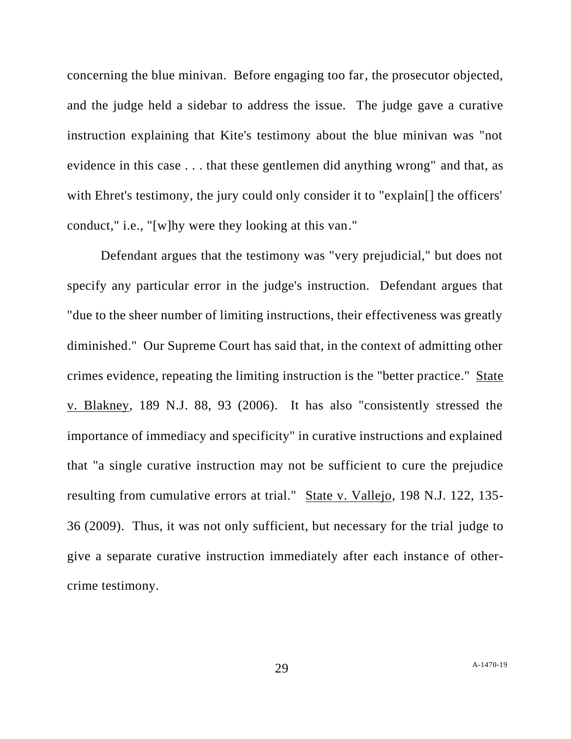concerning the blue minivan. Before engaging too far, the prosecutor objected, and the judge held a sidebar to address the issue. The judge gave a curative instruction explaining that Kite's testimony about the blue minivan was "not evidence in this case . . . that these gentlemen did anything wrong" and that, as with Ehret's testimony, the jury could only consider it to "explain<sup>[]</sup> the officers' conduct," i.e., "[w]hy were they looking at this van."

Defendant argues that the testimony was "very prejudicial," but does not specify any particular error in the judge's instruction. Defendant argues that "due to the sheer number of limiting instructions, their effectiveness was greatly diminished." Our Supreme Court has said that, in the context of admitting other crimes evidence, repeating the limiting instruction is the "better practice." State v. Blakney, 189 N.J. 88, 93 (2006). It has also "consistently stressed the importance of immediacy and specificity" in curative instructions and explained that "a single curative instruction may not be sufficient to cure the prejudice resulting from cumulative errors at trial." State v. Vallejo, 198 N.J. 122, 135-36 (2009). Thus, it was not only sufficient, but necessary for the trial judge to give a separate curative instruction immediately after each instance of othercrime testimony.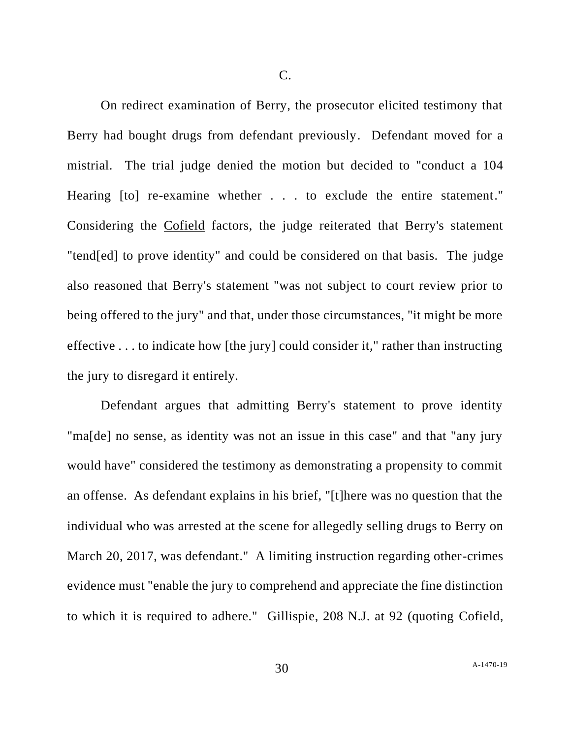C.

On redirect examination of Berry, the prosecutor elicited testimony that Berry had bought drugs from defendant previously. Defendant moved for a mistrial. The trial judge denied the motion but decided to "conduct a 104 Hearing [to] re-examine whether . . . to exclude the entire statement." Considering the Cofield factors, the judge reiterated that Berry's statement "tend[ed] to prove identity" and could be considered on that basis. The judge also reasoned that Berry's statement "was not subject to court review prior to being offered to the jury" and that, under those circumstances, "it might be more effective . . . to indicate how [the jury] could consider it," rather than instructing the jury to disregard it entirely.

Defendant argues that admitting Berry's statement to prove identity "ma[de] no sense, as identity was not an issue in this case" and that "any jury would have" considered the testimony as demonstrating a propensity to commit an offense. As defendant explains in his brief, "[t]here was no question that the individual who was arrested at the scene for allegedly selling drugs to Berry on March 20, 2017, was defendant." A limiting instruction regarding other-crimes evidence must "enable the jury to comprehend and appreciate the fine distinction to which it is required to adhere." Gillispie, 208 N.J. at 92 (quoting Cofield,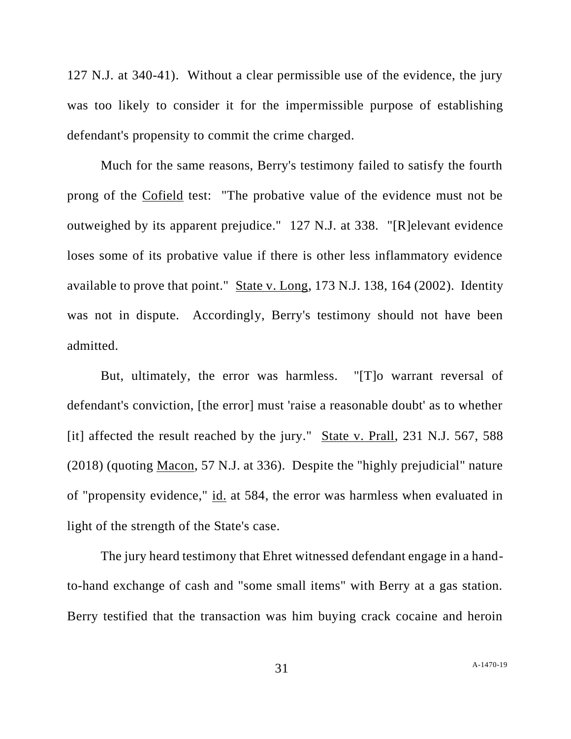127 N.J. at 340-41). Without a clear permissible use of the evidence, the jury was too likely to consider it for the impermissible purpose of establishing defendant's propensity to commit the crime charged.

Much for the same reasons, Berry's testimony failed to satisfy the fourth prong of the Cofield test: "The probative value of the evidence must not be outweighed by its apparent prejudice." 127 N.J. at 338. "[R]elevant evidence loses some of its probative value if there is other less inflammatory evidence available to prove that point." State v. Long, 173 N.J. 138, 164 (2002). Identity was not in dispute. Accordingly, Berry's testimony should not have been admitted.

But, ultimately, the error was harmless. "[T]o warrant reversal of defendant's conviction, [the error] must 'raise a reasonable doubt' as to whether [it] affected the result reached by the jury." State v. Prall, 231 N.J. 567, 588 (2018) (quoting Macon, 57 N.J. at 336). Despite the "highly prejudicial" nature of "propensity evidence," id. at 584, the error was harmless when evaluated in light of the strength of the State's case.

The jury heard testimony that Ehret witnessed defendant engage in a handto-hand exchange of cash and "some small items" with Berry at a gas station. Berry testified that the transaction was him buying crack cocaine and heroin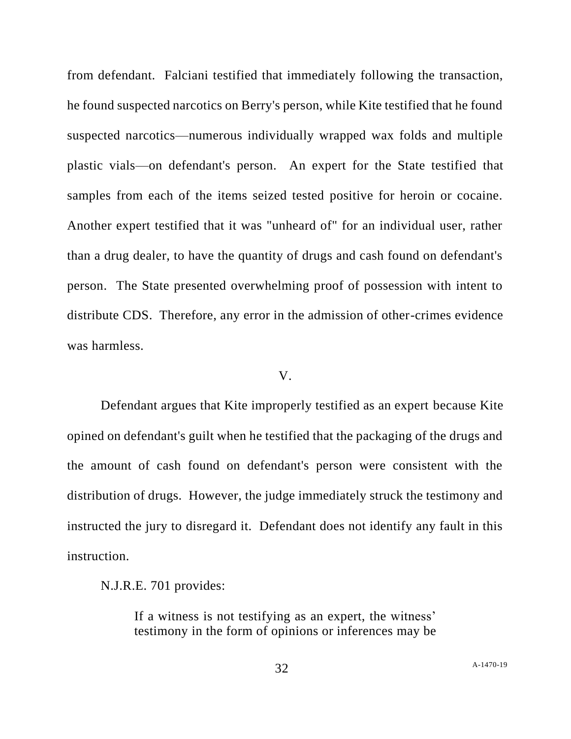from defendant. Falciani testified that immediately following the transaction, he found suspected narcotics on Berry's person, while Kite testified that he found suspected narcotics—numerous individually wrapped wax folds and multiple plastic vials—on defendant's person. An expert for the State testified that samples from each of the items seized tested positive for heroin or cocaine. Another expert testified that it was "unheard of" for an individual user, rather than a drug dealer, to have the quantity of drugs and cash found on defendant's person. The State presented overwhelming proof of possession with intent to distribute CDS. Therefore, any error in the admission of other-crimes evidence was harmless.

#### V.

Defendant argues that Kite improperly testified as an expert because Kite opined on defendant's guilt when he testified that the packaging of the drugs and the amount of cash found on defendant's person were consistent with the distribution of drugs. However, the judge immediately struck the testimony and instructed the jury to disregard it. Defendant does not identify any fault in this instruction.

N.J.R.E. 701 provides:

If a witness is not testifying as an expert, the witness' testimony in the form of opinions or inferences may be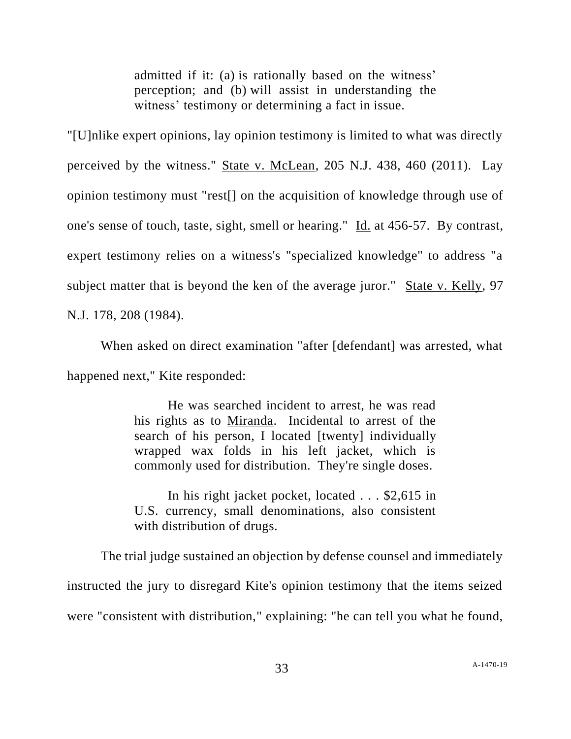admitted if it: (a) is rationally based on the witness' perception; and (b) will assist in understanding the witness' testimony or determining a fact in issue.

"[U]nlike expert opinions, lay opinion testimony is limited to what was directly perceived by the witness." State v. McLean, 205 N.J. 438, 460 (2011). Lay opinion testimony must "rest[] on the acquisition of knowledge through use of one's sense of touch, taste, sight, smell or hearing." Id. at 456-57. By contrast, expert testimony relies on a witness's "specialized knowledge" to address "a subject matter that is beyond the ken of the average juror." State v. Kelly, 97 N.J. 178, 208 (1984).

When asked on direct examination "after [defendant] was arrested, what happened next," Kite responded:

> He was searched incident to arrest, he was read his rights as to Miranda. Incidental to arrest of the search of his person, I located [twenty] individually wrapped wax folds in his left jacket, which is commonly used for distribution. They're single doses.

> In his right jacket pocket, located . . . \$2,615 in U.S. currency, small denominations, also consistent with distribution of drugs.

The trial judge sustained an objection by defense counsel and immediately instructed the jury to disregard Kite's opinion testimony that the items seized were "consistent with distribution," explaining: "he can tell you what he found,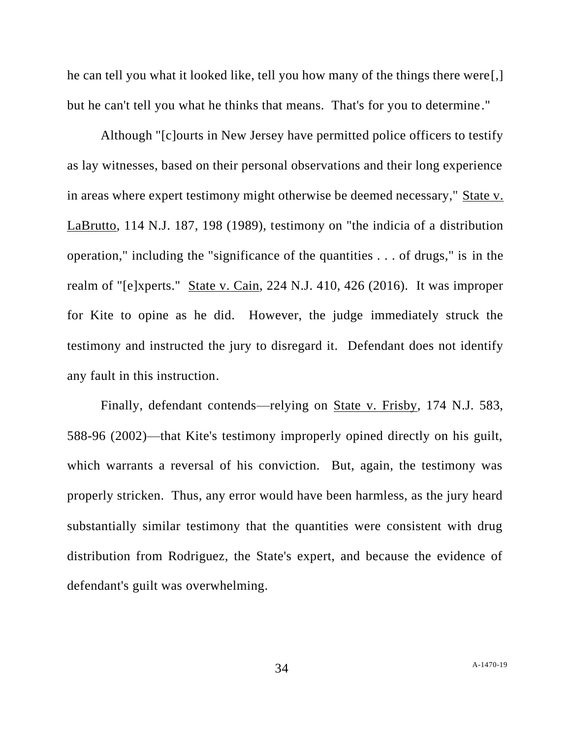he can tell you what it looked like, tell you how many of the things there were[,] but he can't tell you what he thinks that means. That's for you to determine."

Although "[c]ourts in New Jersey have permitted police officers to testify as lay witnesses, based on their personal observations and their long experience in areas where expert testimony might otherwise be deemed necessary," State v. LaBrutto, 114 N.J. 187, 198 (1989), testimony on "the indicia of a distribution operation," including the "significance of the quantities . . . of drugs," is in the realm of "[e]xperts." State v. Cain, 224 N.J. 410, 426 (2016). It was improper for Kite to opine as he did. However, the judge immediately struck the testimony and instructed the jury to disregard it. Defendant does not identify any fault in this instruction.

Finally, defendant contends—relying on State v. Frisby, 174 N.J. 583, 588-96 (2002)—that Kite's testimony improperly opined directly on his guilt, which warrants a reversal of his conviction. But, again, the testimony was properly stricken. Thus, any error would have been harmless, as the jury heard substantially similar testimony that the quantities were consistent with drug distribution from Rodriguez, the State's expert, and because the evidence of defendant's guilt was overwhelming.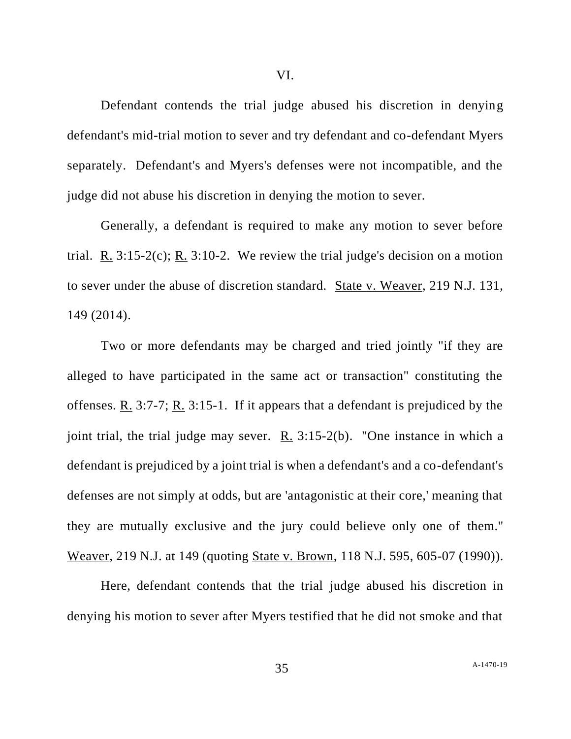Defendant contends the trial judge abused his discretion in denying defendant's mid-trial motion to sever and try defendant and co-defendant Myers

separately. Defendant's and Myers's defenses were not incompatible, and the judge did not abuse his discretion in denying the motion to sever.

Generally, a defendant is required to make any motion to sever before trial. R. 3:15-2(c); R. 3:10-2. We review the trial judge's decision on a motion to sever under the abuse of discretion standard. State v. Weaver, 219 N.J. 131, 149 (2014).

Two or more defendants may be charged and tried jointly "if they are alleged to have participated in the same act or transaction" constituting the offenses. R. 3:7-7; R. 3:15-1. If it appears that a defendant is prejudiced by the joint trial, the trial judge may sever. R. 3:15-2(b). "One instance in which a defendant is prejudiced by a joint trial is when a defendant's and a co-defendant's defenses are not simply at odds, but are 'antagonistic at their core,' meaning that they are mutually exclusive and the jury could believe only one of them." Weaver, 219 N.J. at 149 (quoting State v. Brown, 118 N.J. 595, 605-07 (1990)).

Here, defendant contends that the trial judge abused his discretion in denying his motion to sever after Myers testified that he did not smoke and that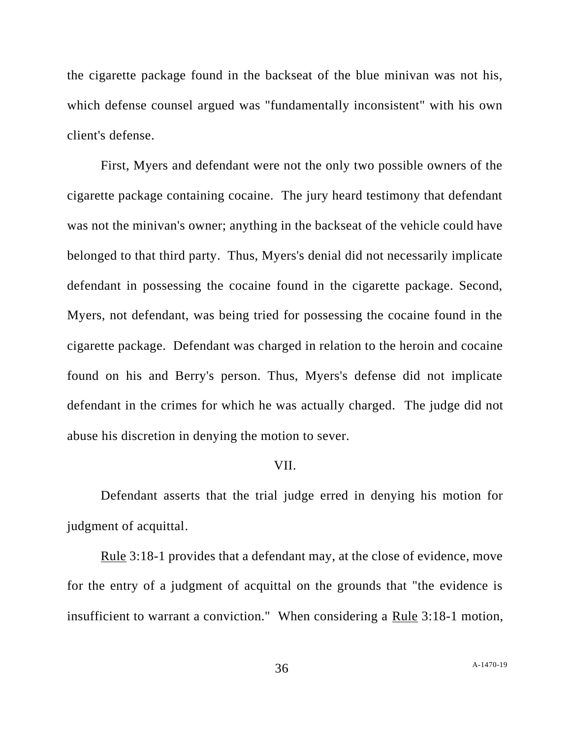the cigarette package found in the backseat of the blue minivan was not his, which defense counsel argued was "fundamentally inconsistent" with his own client's defense.

First, Myers and defendant were not the only two possible owners of the cigarette package containing cocaine. The jury heard testimony that defendant was not the minivan's owner; anything in the backseat of the vehicle could have belonged to that third party. Thus, Myers's denial did not necessarily implicate defendant in possessing the cocaine found in the cigarette package. Second, Myers, not defendant, was being tried for possessing the cocaine found in the cigarette package. Defendant was charged in relation to the heroin and cocaine found on his and Berry's person. Thus, Myers's defense did not implicate defendant in the crimes for which he was actually charged. The judge did not abuse his discretion in denying the motion to sever.

#### VII.

Defendant asserts that the trial judge erred in denying his motion for judgment of acquittal.

Rule 3:18-1 provides that a defendant may, at the close of evidence, move for the entry of a judgment of acquittal on the grounds that "the evidence is insufficient to warrant a conviction." When considering a Rule 3:18-1 motion,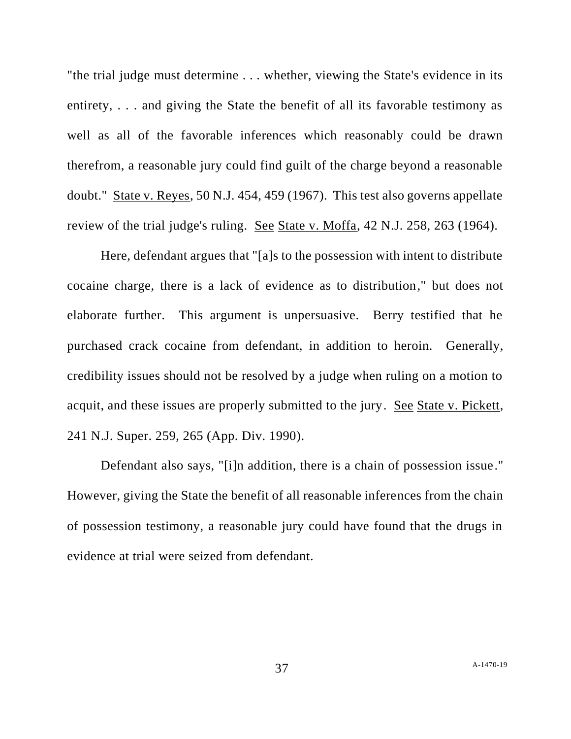"the trial judge must determine . . . whether, viewing the State's evidence in its entirety, . . . and giving the State the benefit of all its favorable testimony as well as all of the favorable inferences which reasonably could be drawn therefrom, a reasonable jury could find guilt of the charge beyond a reasonable doubt." State v. Reyes, 50 N.J. 454, 459 (1967). This test also governs appellate review of the trial judge's ruling. See State v. Moffa, 42 N.J. 258, 263 (1964).

Here, defendant argues that "[a]s to the possession with intent to distribute cocaine charge, there is a lack of evidence as to distribution," but does not elaborate further. This argument is unpersuasive. Berry testified that he purchased crack cocaine from defendant, in addition to heroin. Generally, credibility issues should not be resolved by a judge when ruling on a motion to acquit, and these issues are properly submitted to the jury. See State v. Pickett, 241 N.J. Super. 259, 265 (App. Div. 1990).

Defendant also says, "[i]n addition, there is a chain of possession issue." However, giving the State the benefit of all reasonable inferences from the chain of possession testimony, a reasonable jury could have found that the drugs in evidence at trial were seized from defendant.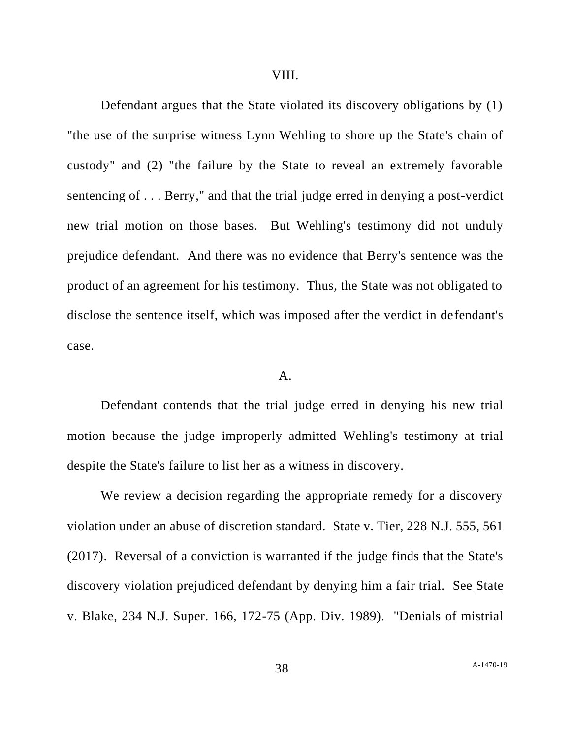Defendant argues that the State violated its discovery obligations by (1) "the use of the surprise witness Lynn Wehling to shore up the State's chain of custody" and (2) "the failure by the State to reveal an extremely favorable sentencing of . . . Berry," and that the trial judge erred in denying a post-verdict new trial motion on those bases. But Wehling's testimony did not unduly prejudice defendant. And there was no evidence that Berry's sentence was the product of an agreement for his testimony. Thus, the State was not obligated to disclose the sentence itself, which was imposed after the verdict in defendant's case.

#### A.

Defendant contends that the trial judge erred in denying his new trial motion because the judge improperly admitted Wehling's testimony at trial despite the State's failure to list her as a witness in discovery.

We review a decision regarding the appropriate remedy for a discovery violation under an abuse of discretion standard. State v. Tier, 228 N.J. 555, 561 (2017). Reversal of a conviction is warranted if the judge finds that the State's discovery violation prejudiced defendant by denying him a fair trial. See State v. Blake, 234 N.J. Super. 166, 172-75 (App. Div. 1989). "Denials of mistrial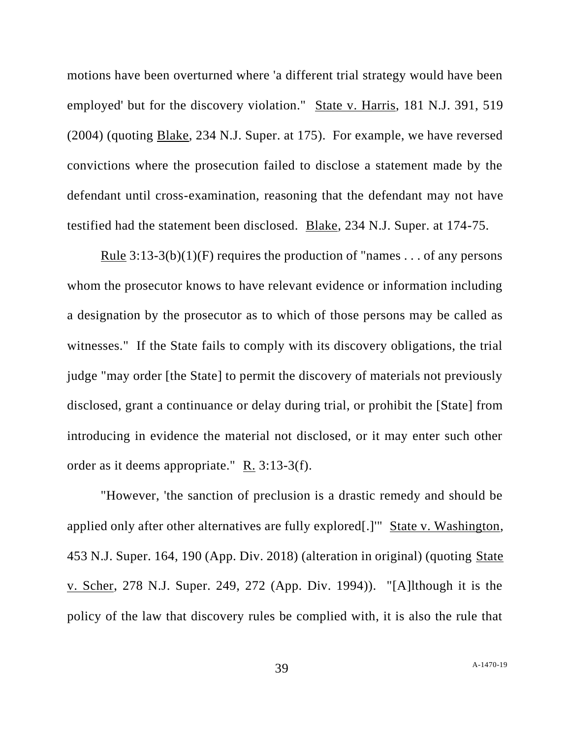motions have been overturned where 'a different trial strategy would have been employed' but for the discovery violation." State v. Harris, 181 N.J. 391, 519 (2004) (quoting Blake, 234 N.J. Super. at 175). For example, we have reversed convictions where the prosecution failed to disclose a statement made by the defendant until cross-examination, reasoning that the defendant may not have testified had the statement been disclosed. Blake, 234 N.J. Super. at 174-75.

Rule  $3:13-3(b)(1)(F)$  requires the production of "names ... of any persons" whom the prosecutor knows to have relevant evidence or information including a designation by the prosecutor as to which of those persons may be called as witnesses." If the State fails to comply with its discovery obligations, the trial judge "may order [the State] to permit the discovery of materials not previously disclosed, grant a continuance or delay during trial, or prohibit the [State] from introducing in evidence the material not disclosed, or it may enter such other order as it deems appropriate."  $R_1$  3:13-3(f).

"However, 'the sanction of preclusion is a drastic remedy and should be applied only after other alternatives are fully explored[.]'" State v. Washington, 453 N.J. Super. 164, 190 (App. Div. 2018) (alteration in original) (quoting State v. Scher, 278 N.J. Super. 249, 272 (App. Div. 1994)). "[A]lthough it is the policy of the law that discovery rules be complied with, it is also the rule that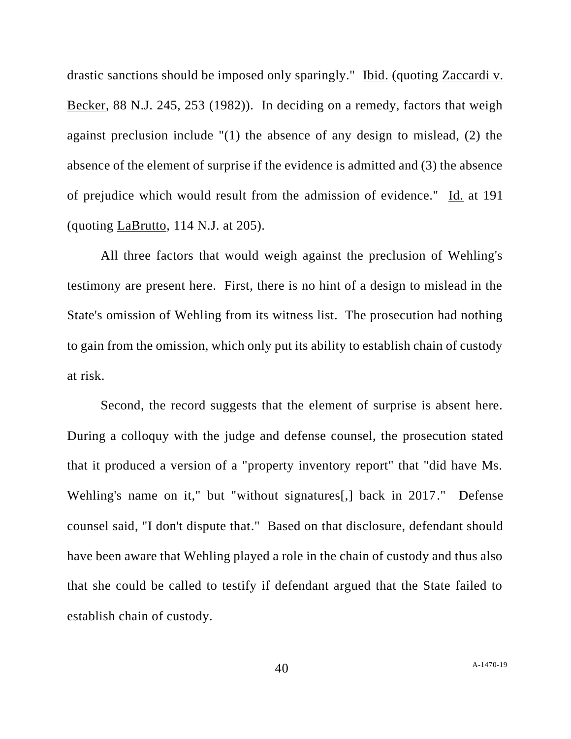drastic sanctions should be imposed only sparingly." Ibid. (quoting Zaccardi v. Becker, 88 N.J. 245, 253 (1982)). In deciding on a remedy, factors that weigh against preclusion include "(1) the absence of any design to mislead, (2) the absence of the element of surprise if the evidence is admitted and (3) the absence of prejudice which would result from the admission of evidence." Id. at 191 (quoting LaBrutto, 114 N.J. at 205).

All three factors that would weigh against the preclusion of Wehling's testimony are present here. First, there is no hint of a design to mislead in the State's omission of Wehling from its witness list. The prosecution had nothing to gain from the omission, which only put its ability to establish chain of custody at risk.

Second, the record suggests that the element of surprise is absent here. During a colloquy with the judge and defense counsel, the prosecution stated that it produced a version of a "property inventory report" that "did have Ms. Wehling's name on it," but "without signatures[,] back in 2017." Defense counsel said, "I don't dispute that." Based on that disclosure, defendant should have been aware that Wehling played a role in the chain of custody and thus also that she could be called to testify if defendant argued that the State failed to establish chain of custody.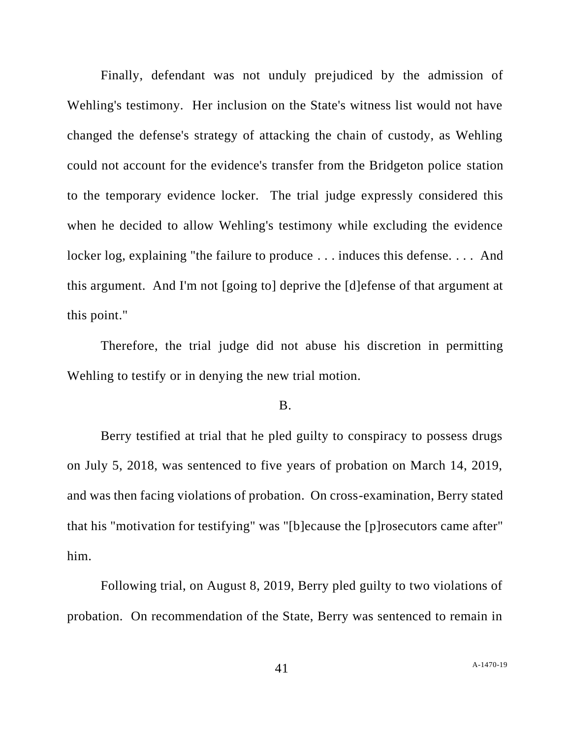Finally, defendant was not unduly prejudiced by the admission of Wehling's testimony. Her inclusion on the State's witness list would not have changed the defense's strategy of attacking the chain of custody, as Wehling could not account for the evidence's transfer from the Bridgeton police station to the temporary evidence locker. The trial judge expressly considered this when he decided to allow Wehling's testimony while excluding the evidence locker log, explaining "the failure to produce . . . induces this defense. . . . And this argument. And I'm not [going to] deprive the [d]efense of that argument at this point."

Therefore, the trial judge did not abuse his discretion in permitting Wehling to testify or in denying the new trial motion.

#### B.

Berry testified at trial that he pled guilty to conspiracy to possess drugs on July 5, 2018, was sentenced to five years of probation on March 14, 2019, and was then facing violations of probation. On cross-examination, Berry stated that his "motivation for testifying" was "[b]ecause the [p]rosecutors came after" him.

Following trial, on August 8, 2019, Berry pled guilty to two violations of probation. On recommendation of the State, Berry was sentenced to remain in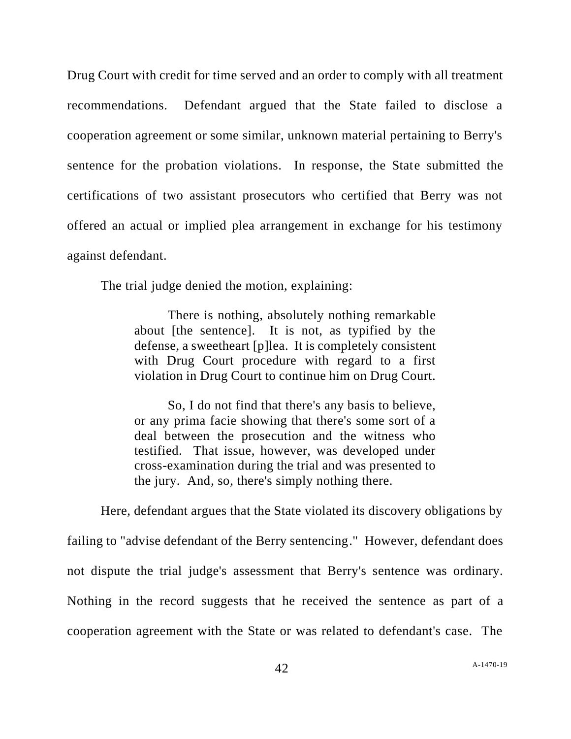Drug Court with credit for time served and an order to comply with all treatment recommendations. Defendant argued that the State failed to disclose a cooperation agreement or some similar, unknown material pertaining to Berry's sentence for the probation violations. In response, the State submitted the certifications of two assistant prosecutors who certified that Berry was not offered an actual or implied plea arrangement in exchange for his testimony against defendant.

The trial judge denied the motion, explaining:

There is nothing, absolutely nothing remarkable about [the sentence]. It is not, as typified by the defense, a sweetheart [p]lea. It is completely consistent with Drug Court procedure with regard to a first violation in Drug Court to continue him on Drug Court.

So, I do not find that there's any basis to believe, or any prima facie showing that there's some sort of a deal between the prosecution and the witness who testified. That issue, however, was developed under cross-examination during the trial and was presented to the jury. And, so, there's simply nothing there.

Here, defendant argues that the State violated its discovery obligations by failing to "advise defendant of the Berry sentencing." However, defendant does not dispute the trial judge's assessment that Berry's sentence was ordinary. Nothing in the record suggests that he received the sentence as part of a cooperation agreement with the State or was related to defendant's case. The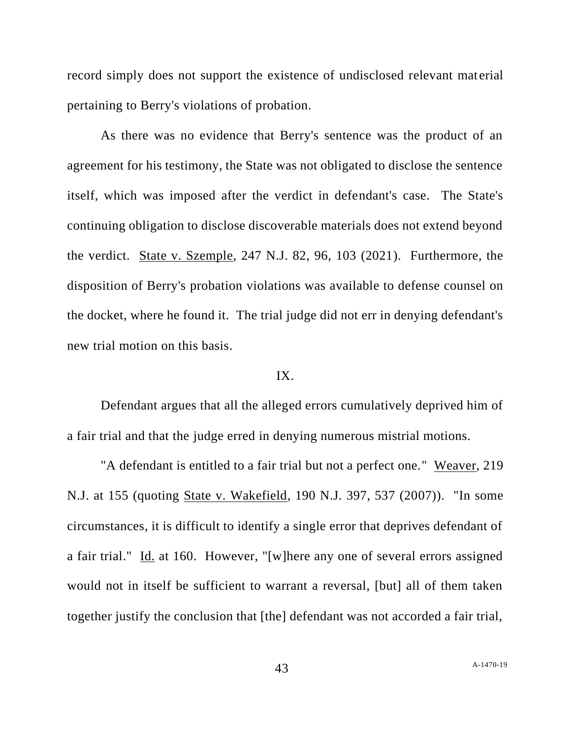record simply does not support the existence of undisclosed relevant material pertaining to Berry's violations of probation.

As there was no evidence that Berry's sentence was the product of an agreement for his testimony, the State was not obligated to disclose the sentence itself, which was imposed after the verdict in defendant's case. The State's continuing obligation to disclose discoverable materials does not extend beyond the verdict. State v. Szemple, 247 N.J. 82, 96, 103 (2021). Furthermore, the disposition of Berry's probation violations was available to defense counsel on the docket, where he found it. The trial judge did not err in denying defendant's new trial motion on this basis.

#### IX.

Defendant argues that all the alleged errors cumulatively deprived him of a fair trial and that the judge erred in denying numerous mistrial motions.

"A defendant is entitled to a fair trial but not a perfect one." Weaver, 219 N.J. at 155 (quoting State v. Wakefield, 190 N.J. 397, 537 (2007)). "In some circumstances, it is difficult to identify a single error that deprives defendant of a fair trial." Id. at 160. However, "[w]here any one of several errors assigned would not in itself be sufficient to warrant a reversal, [but] all of them taken together justify the conclusion that [the] defendant was not accorded a fair trial,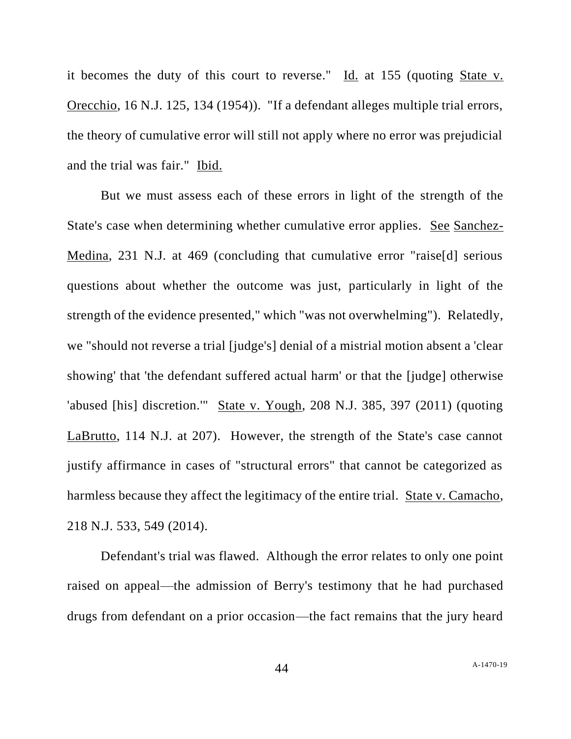it becomes the duty of this court to reverse." Id. at 155 (quoting State v. Orecchio, 16 N.J. 125, 134 (1954)). "If a defendant alleges multiple trial errors, the theory of cumulative error will still not apply where no error was prejudicial and the trial was fair." Ibid.

But we must assess each of these errors in light of the strength of the State's case when determining whether cumulative error applies. See Sanchez-Medina, 231 N.J. at 469 (concluding that cumulative error "raise[d] serious questions about whether the outcome was just, particularly in light of the strength of the evidence presented," which "was not overwhelming"). Relatedly, we "should not reverse a trial [judge's] denial of a mistrial motion absent a 'clear showing' that 'the defendant suffered actual harm' or that the [judge] otherwise 'abused [his] discretion.'" State v. Yough, 208 N.J. 385, 397 (2011) (quoting LaBrutto, 114 N.J. at 207). However, the strength of the State's case cannot justify affirmance in cases of "structural errors" that cannot be categorized as harmless because they affect the legitimacy of the entire trial. State v. Camacho, 218 N.J. 533, 549 (2014).

Defendant's trial was flawed. Although the error relates to only one point raised on appeal—the admission of Berry's testimony that he had purchased drugs from defendant on a prior occasion—the fact remains that the jury heard